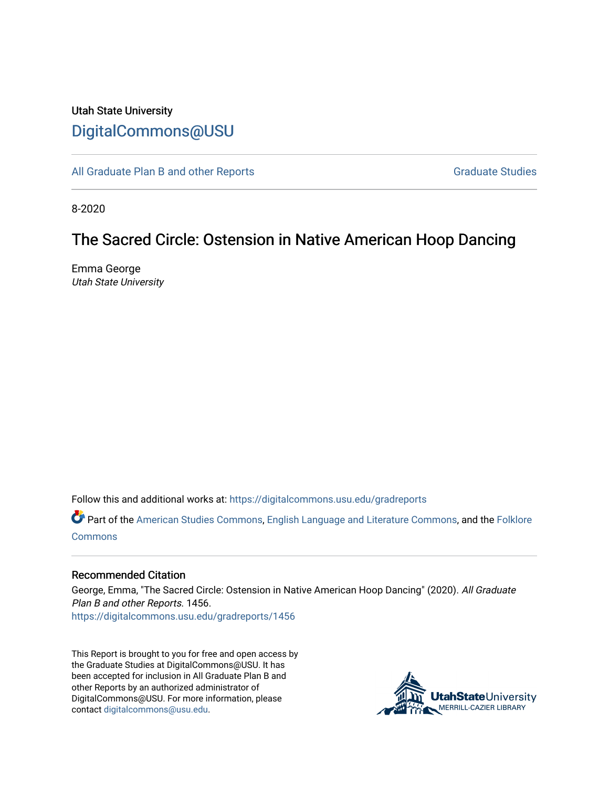# Utah State University [DigitalCommons@USU](https://digitalcommons.usu.edu/)

[All Graduate Plan B and other Reports](https://digitalcommons.usu.edu/gradreports) **Graduate Studies** Graduate Studies

8-2020

# The Sacred Circle: Ostension in Native American Hoop Dancing

Emma George Utah State University

Follow this and additional works at: [https://digitalcommons.usu.edu/gradreports](https://digitalcommons.usu.edu/gradreports?utm_source=digitalcommons.usu.edu%2Fgradreports%2F1456&utm_medium=PDF&utm_campaign=PDFCoverPages)

Part of the [American Studies Commons](http://network.bepress.com/hgg/discipline/439?utm_source=digitalcommons.usu.edu%2Fgradreports%2F1456&utm_medium=PDF&utm_campaign=PDFCoverPages), [English Language and Literature Commons,](http://network.bepress.com/hgg/discipline/455?utm_source=digitalcommons.usu.edu%2Fgradreports%2F1456&utm_medium=PDF&utm_campaign=PDFCoverPages) and the [Folklore](http://network.bepress.com/hgg/discipline/321?utm_source=digitalcommons.usu.edu%2Fgradreports%2F1456&utm_medium=PDF&utm_campaign=PDFCoverPages) **[Commons](http://network.bepress.com/hgg/discipline/321?utm_source=digitalcommons.usu.edu%2Fgradreports%2F1456&utm_medium=PDF&utm_campaign=PDFCoverPages)** 

### Recommended Citation

George, Emma, "The Sacred Circle: Ostension in Native American Hoop Dancing" (2020). All Graduate Plan B and other Reports. 1456. [https://digitalcommons.usu.edu/gradreports/1456](https://digitalcommons.usu.edu/gradreports/1456?utm_source=digitalcommons.usu.edu%2Fgradreports%2F1456&utm_medium=PDF&utm_campaign=PDFCoverPages) 

This Report is brought to you for free and open access by the Graduate Studies at DigitalCommons@USU. It has been accepted for inclusion in All Graduate Plan B and other Reports by an authorized administrator of DigitalCommons@USU. For more information, please contact [digitalcommons@usu.edu](mailto:digitalcommons@usu.edu).

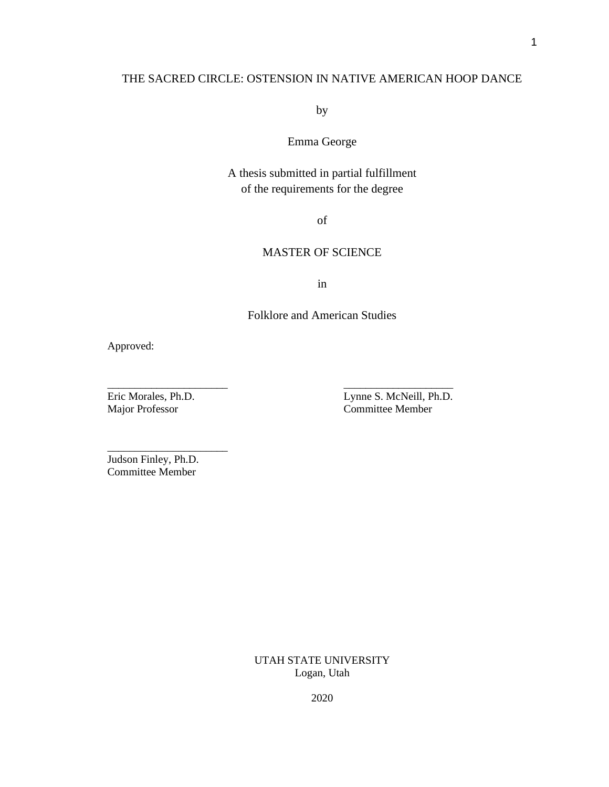# THE SACRED CIRCLE: OSTENSION IN NATIVE AMERICAN HOOP DANCE

by

# Emma George

# A thesis submitted in partial fulfillment of the requirements for the degree

of

# MASTER OF SCIENCE

in

## Folklore and American Studies

\_\_\_\_\_\_\_\_\_\_\_\_\_\_\_\_\_\_\_\_\_\_ \_\_\_\_\_\_\_\_\_\_\_\_\_\_\_\_\_\_\_\_

Approved:

Eric Morales, Ph.D. Lynne S. McNeill, Ph.D. Major Professor Committee Member

Judson Finley, Ph.D. Committee Member

\_\_\_\_\_\_\_\_\_\_\_\_\_\_\_\_\_\_\_\_\_\_

UTAH STATE UNIVERSITY Logan, Utah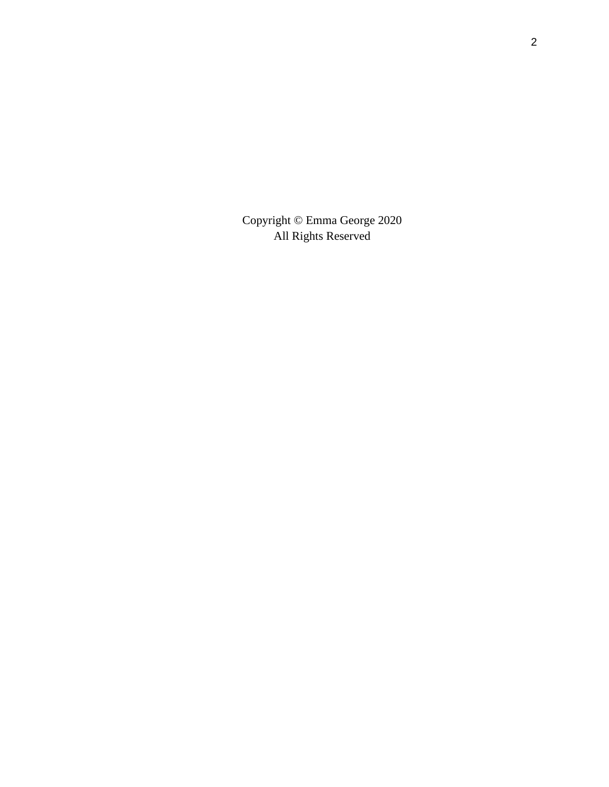Copyright © Emma George 2020 All Rights Reserved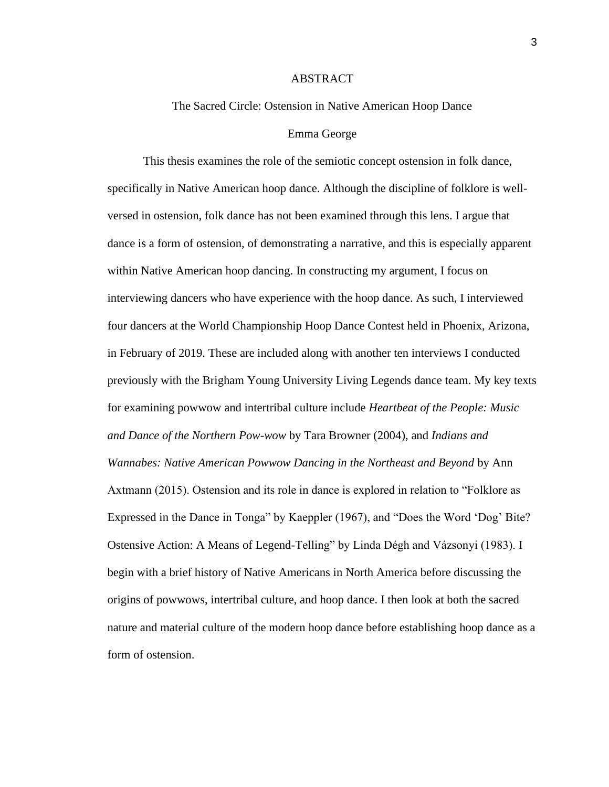### ABSTRACT

### The Sacred Circle: Ostension in Native American Hoop Dance

#### Emma George

This thesis examines the role of the semiotic concept ostension in folk dance, specifically in Native American hoop dance. Although the discipline of folklore is wellversed in ostension, folk dance has not been examined through this lens. I argue that dance is a form of ostension, of demonstrating a narrative, and this is especially apparent within Native American hoop dancing. In constructing my argument, I focus on interviewing dancers who have experience with the hoop dance. As such, I interviewed four dancers at the World Championship Hoop Dance Contest held in Phoenix, Arizona, in February of 2019. These are included along with another ten interviews I conducted previously with the Brigham Young University Living Legends dance team. My key texts for examining powwow and intertribal culture include *Heartbeat of the People: Music and Dance of the Northern Pow-wow* by Tara Browner (2004), and *Indians and Wannabes: Native American Powwow Dancing in the Northeast and Beyond* by Ann Axtmann (2015). Ostension and its role in dance is explored in relation to "Folklore as Expressed in the Dance in Tonga" by Kaeppler (1967), and "Does the Word 'Dog' Bite? Ostensive Action: A Means of Legend-Telling" by Linda Dégh and Vázsonyi (1983). I begin with a brief history of Native Americans in North America before discussing the origins of powwows, intertribal culture, and hoop dance. I then look at both the sacred nature and material culture of the modern hoop dance before establishing hoop dance as a form of ostension.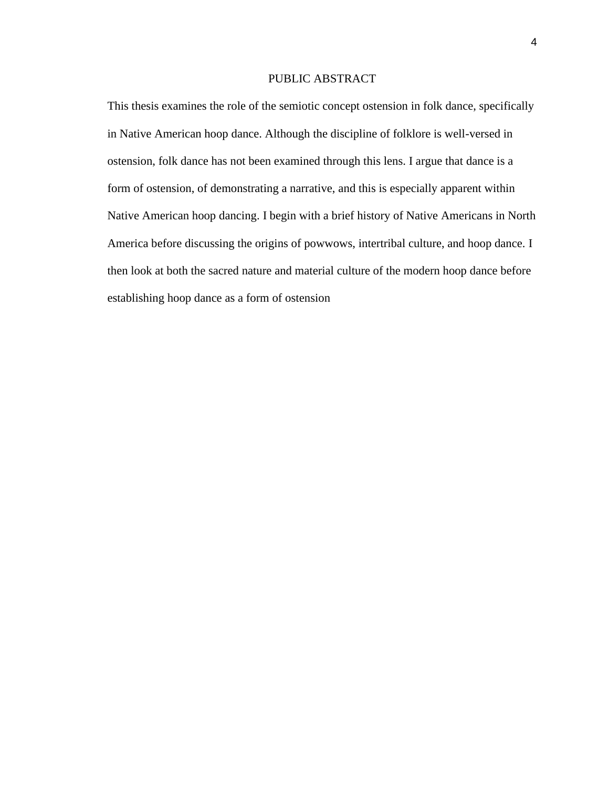### PUBLIC ABSTRACT

This thesis examines the role of the semiotic concept ostension in folk dance, specifically in Native American hoop dance. Although the discipline of folklore is well-versed in ostension, folk dance has not been examined through this lens. I argue that dance is a form of ostension, of demonstrating a narrative, and this is especially apparent within Native American hoop dancing. I begin with a brief history of Native Americans in North America before discussing the origins of powwows, intertribal culture, and hoop dance. I then look at both the sacred nature and material culture of the modern hoop dance before establishing hoop dance as a form of ostension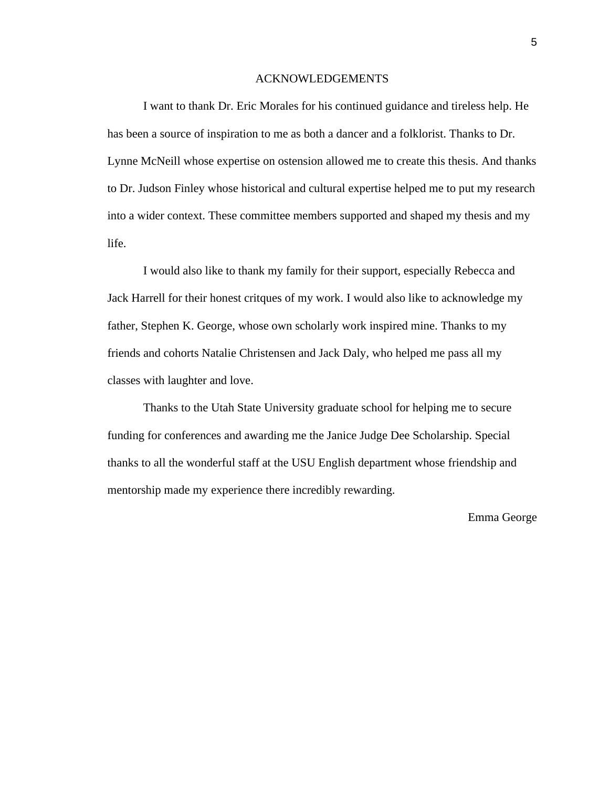### ACKNOWLEDGEMENTS

I want to thank Dr. Eric Morales for his continued guidance and tireless help. He has been a source of inspiration to me as both a dancer and a folklorist. Thanks to Dr. Lynne McNeill whose expertise on ostension allowed me to create this thesis. And thanks to Dr. Judson Finley whose historical and cultural expertise helped me to put my research into a wider context. These committee members supported and shaped my thesis and my life.

I would also like to thank my family for their support, especially Rebecca and Jack Harrell for their honest critques of my work. I would also like to acknowledge my father, Stephen K. George, whose own scholarly work inspired mine. Thanks to my friends and cohorts Natalie Christensen and Jack Daly, who helped me pass all my classes with laughter and love.

Thanks to the Utah State University graduate school for helping me to secure funding for conferences and awarding me the Janice Judge Dee Scholarship. Special thanks to all the wonderful staff at the USU English department whose friendship and mentorship made my experience there incredibly rewarding.

### Emma George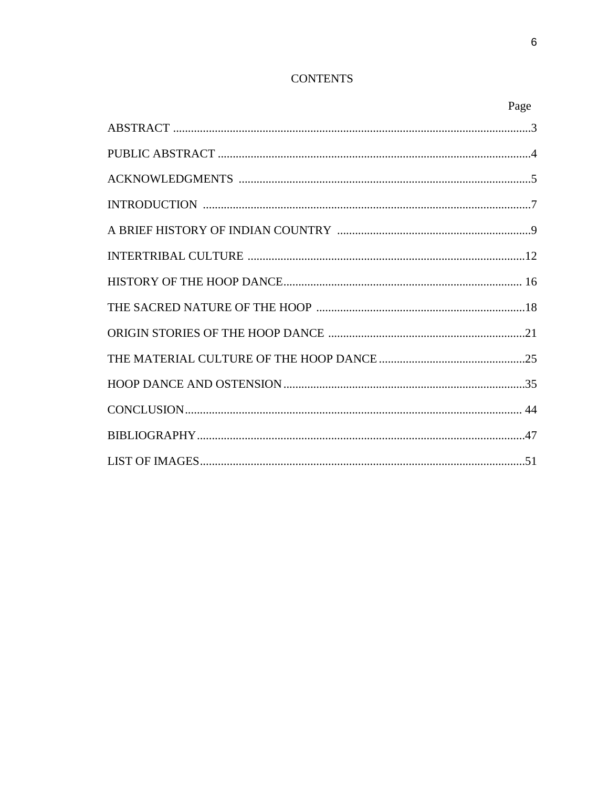# **CONTENTS**

| Page |
|------|
|      |
|      |
|      |
|      |
|      |
|      |
|      |
|      |
|      |
|      |
|      |
|      |
|      |
|      |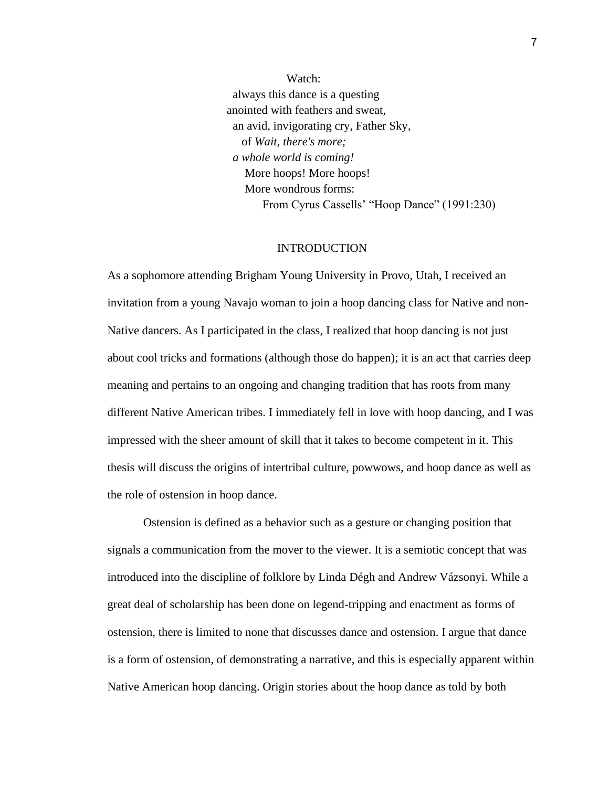Watch: always this dance is a questing anointed with feathers and sweat, an avid, invigorating cry, Father Sky, of *Wait, there's more; a whole world is coming!* More hoops! More hoops! More wondrous forms: From Cyrus Cassells' "Hoop Dance" (1991:230)

### INTRODUCTION

As a sophomore attending Brigham Young University in Provo, Utah, I received an invitation from a young Navajo woman to join a hoop dancing class for Native and non-Native dancers. As I participated in the class, I realized that hoop dancing is not just about cool tricks and formations (although those do happen); it is an act that carries deep meaning and pertains to an ongoing and changing tradition that has roots from many different Native American tribes. I immediately fell in love with hoop dancing, and I was impressed with the sheer amount of skill that it takes to become competent in it. This thesis will discuss the origins of intertribal culture, powwows, and hoop dance as well as the role of ostension in hoop dance.

Ostension is defined as a behavior such as a gesture or changing position that signals a communication from the mover to the viewer. It is a semiotic concept that was introduced into the discipline of folklore by Linda Dégh and Andrew Vázsonyi. While a great deal of scholarship has been done on legend-tripping and enactment as forms of ostension, there is limited to none that discusses dance and ostension. I argue that dance is a form of ostension, of demonstrating a narrative, and this is especially apparent within Native American hoop dancing. Origin stories about the hoop dance as told by both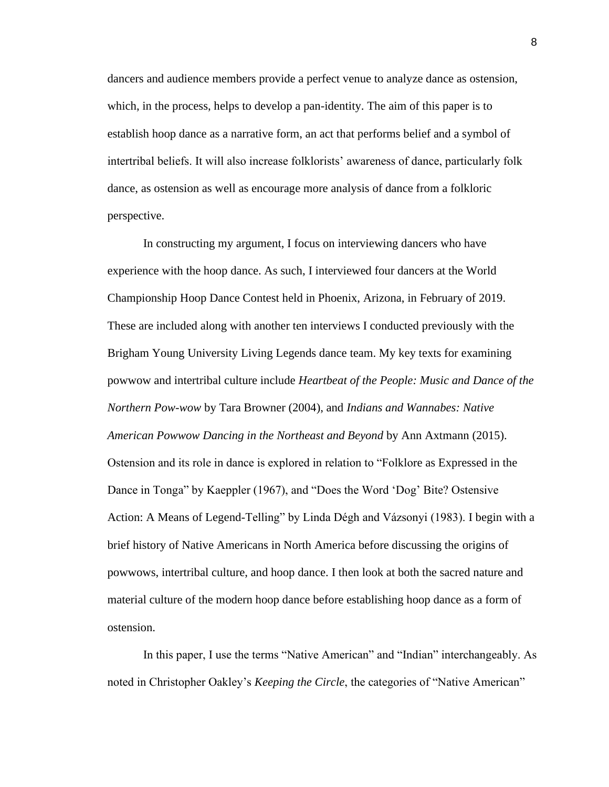dancers and audience members provide a perfect venue to analyze dance as ostension, which, in the process, helps to develop a pan-identity. The aim of this paper is to establish hoop dance as a narrative form, an act that performs belief and a symbol of intertribal beliefs. It will also increase folklorists' awareness of dance, particularly folk dance, as ostension as well as encourage more analysis of dance from a folkloric perspective.

In constructing my argument, I focus on interviewing dancers who have experience with the hoop dance. As such, I interviewed four dancers at the World Championship Hoop Dance Contest held in Phoenix, Arizona, in February of 2019. These are included along with another ten interviews I conducted previously with the Brigham Young University Living Legends dance team. My key texts for examining powwow and intertribal culture include *Heartbeat of the People: Music and Dance of the Northern Pow-wow* by Tara Browner (2004), and *Indians and Wannabes: Native American Powwow Dancing in the Northeast and Beyond* by Ann Axtmann (2015). Ostension and its role in dance is explored in relation to "Folklore as Expressed in the Dance in Tonga" by Kaeppler (1967), and "Does the Word 'Dog' Bite? Ostensive Action: A Means of Legend-Telling" by Linda Dégh and Vázsonyi (1983). I begin with a brief history of Native Americans in North America before discussing the origins of powwows, intertribal culture, and hoop dance. I then look at both the sacred nature and material culture of the modern hoop dance before establishing hoop dance as a form of ostension.

In this paper, I use the terms "Native American" and "Indian" interchangeably. As noted in Christopher Oakley's *Keeping the Circle*, the categories of "Native American"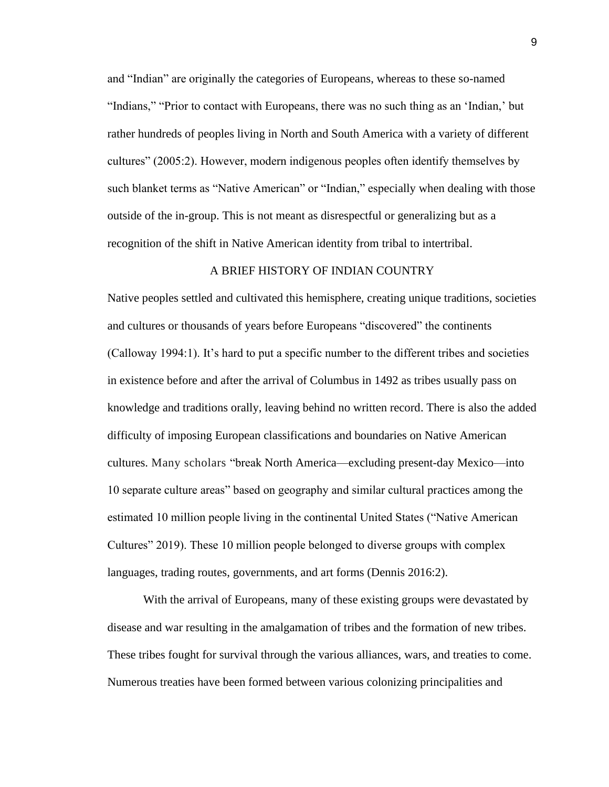and "Indian" are originally the categories of Europeans, whereas to these so-named "Indians," "Prior to contact with Europeans, there was no such thing as an 'Indian,' but rather hundreds of peoples living in North and South America with a variety of different cultures" (2005:2). However, modern indigenous peoples often identify themselves by such blanket terms as "Native American" or "Indian," especially when dealing with those outside of the in-group. This is not meant as disrespectful or generalizing but as a recognition of the shift in Native American identity from tribal to intertribal.

### A BRIEF HISTORY OF INDIAN COUNTRY

Native peoples settled and cultivated this hemisphere, creating unique traditions, societies and cultures or thousands of years before Europeans "discovered" the continents (Calloway 1994:1). It's hard to put a specific number to the different tribes and societies in existence before and after the arrival of Columbus in 1492 as tribes usually pass on knowledge and traditions orally, leaving behind no written record. There is also the added difficulty of imposing European classifications and boundaries on Native American cultures. Many scholars "break North America—excluding present-day Mexico—into 10 separate culture areas" based on geography and similar cultural practices among the estimated 10 million people living in the continental United States ("Native American Cultures" 2019). These 10 million people belonged to diverse groups with complex languages, trading routes, governments, and art forms (Dennis 2016:2).

With the arrival of Europeans, many of these existing groups were devastated by disease and war resulting in the amalgamation of tribes and the formation of new tribes. These tribes fought for survival through the various alliances, wars, and treaties to come. Numerous treaties have been formed between various colonizing principalities and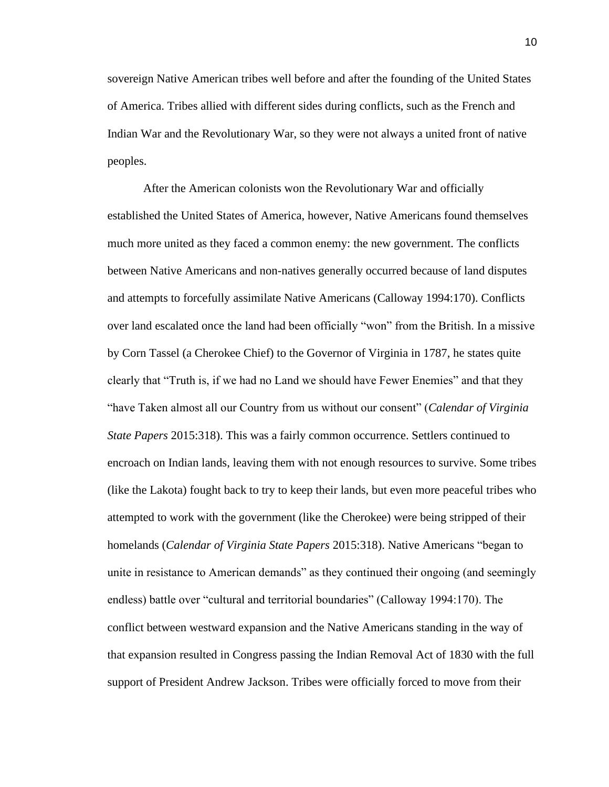sovereign Native American tribes well before and after the founding of the United States of America. Tribes allied with different sides during conflicts, such as the French and Indian War and the Revolutionary War, so they were not always a united front of native peoples.

After the American colonists won the Revolutionary War and officially established the United States of America, however, Native Americans found themselves much more united as they faced a common enemy: the new government. The conflicts between Native Americans and non-natives generally occurred because of land disputes and attempts to forcefully assimilate Native Americans (Calloway 1994:170). Conflicts over land escalated once the land had been officially "won" from the British. In a missive by Corn Tassel (a Cherokee Chief) to the Governor of Virginia in 1787, he states quite clearly that "Truth is, if we had no Land we should have Fewer Enemies" and that they "have Taken almost all our Country from us without our consent" (*Calendar of Virginia State Papers* 2015:318). This was a fairly common occurrence. Settlers continued to encroach on Indian lands, leaving them with not enough resources to survive. Some tribes (like the Lakota) fought back to try to keep their lands, but even more peaceful tribes who attempted to work with the government (like the Cherokee) were being stripped of their homelands (*Calendar of Virginia State Papers* 2015:318). Native Americans "began to unite in resistance to American demands" as they continued their ongoing (and seemingly endless) battle over "cultural and territorial boundaries" (Calloway 1994:170). The conflict between westward expansion and the Native Americans standing in the way of that expansion resulted in Congress passing the Indian Removal Act of 1830 with the full support of President Andrew Jackson. Tribes were officially forced to move from their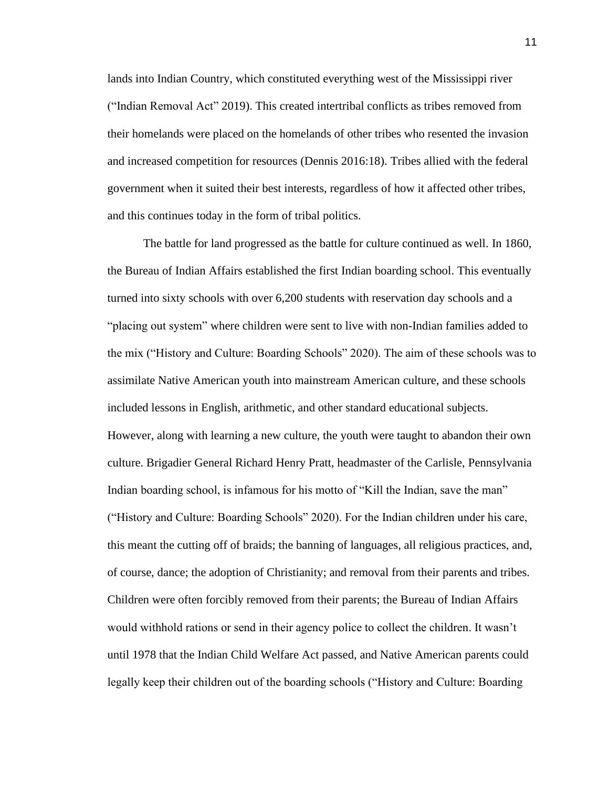lands into Indian Country, which constituted everything west of the Mississippi river ("Indian Removal Act" 2019). This created intertribal conflicts as tribes removed from their homelands were placed on the homelands of other tribes who resented the invasion and increased competition for resources (Dennis 2016:18). Tribes allied with the federal government when it suited their best interests, regardless of how it affected other tribes, and this continues today in the form of tribal politics.

The battle for land progressed as the battle for culture continued as well. In 1860, the Bureau of Indian Affairs established the first Indian boarding school. This eventually turned into sixty schools with over 6,200 students with reservation day schools and a "placing out system" where children were sent to live with non-Indian families added to the mix ("History and Culture: Boarding Schools" 2020). The aim of these schools was to assimilate Native American youth into mainstream American culture, and these schools included lessons in English, arithmetic, and other standard educational subjects. However, along with learning a new culture, the youth were taught to abandon their own culture. Brigadier General Richard Henry Pratt, headmaster of the Carlisle, Pennsylvania Indian boarding school, is infamous for his motto of "Kill the Indian, save the man" ("History and Culture: Boarding Schools" 2020). For the Indian children under his care, this meant the cutting off of braids; the banning of languages, all religious practices, and, of course, dance; the adoption of Christianity; and removal from their parents and tribes. Children were often forcibly removed from their parents; the Bureau of Indian Affairs would withhold rations or send in their agency police to collect the children. It wasn't until 1978 that the Indian Child Welfare Act passed, and Native American parents could legally keep their children out of the boarding schools ("History and Culture: Boarding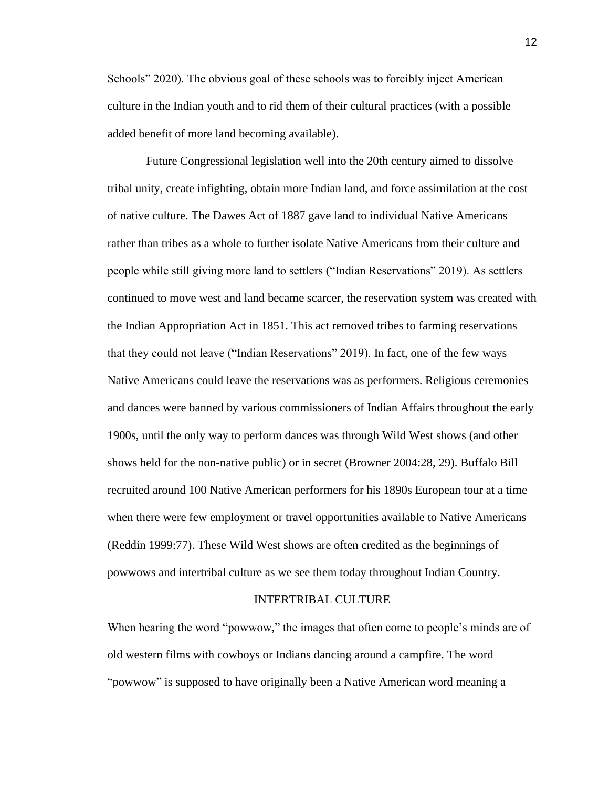Schools" 2020). The obvious goal of these schools was to forcibly inject American culture in the Indian youth and to rid them of their cultural practices (with a possible added benefit of more land becoming available).

Future Congressional legislation well into the 20th century aimed to dissolve tribal unity, create infighting, obtain more Indian land, and force assimilation at the cost of native culture. The Dawes Act of 1887 gave land to individual Native Americans rather than tribes as a whole to further isolate Native Americans from their culture and people while still giving more land to settlers ("Indian Reservations" 2019). As settlers continued to move west and land became scarcer, the reservation system was created with the Indian Appropriation Act in 1851. This act removed tribes to farming reservations that they could not leave ("Indian Reservations" 2019). In fact, one of the few ways Native Americans could leave the reservations was as performers. Religious ceremonies and dances were banned by various commissioners of Indian Affairs throughout the early 1900s, until the only way to perform dances was through Wild West shows (and other shows held for the non-native public) or in secret (Browner 2004:28, 29). Buffalo Bill recruited around 100 Native American performers for his 1890s European tour at a time when there were few employment or travel opportunities available to Native Americans (Reddin 1999:77). These Wild West shows are often credited as the beginnings of powwows and intertribal culture as we see them today throughout Indian Country.

#### INTERTRIBAL CULTURE

When hearing the word "powwow," the images that often come to people's minds are of old western films with cowboys or Indians dancing around a campfire. The word "powwow" is supposed to have originally been a Native American word meaning a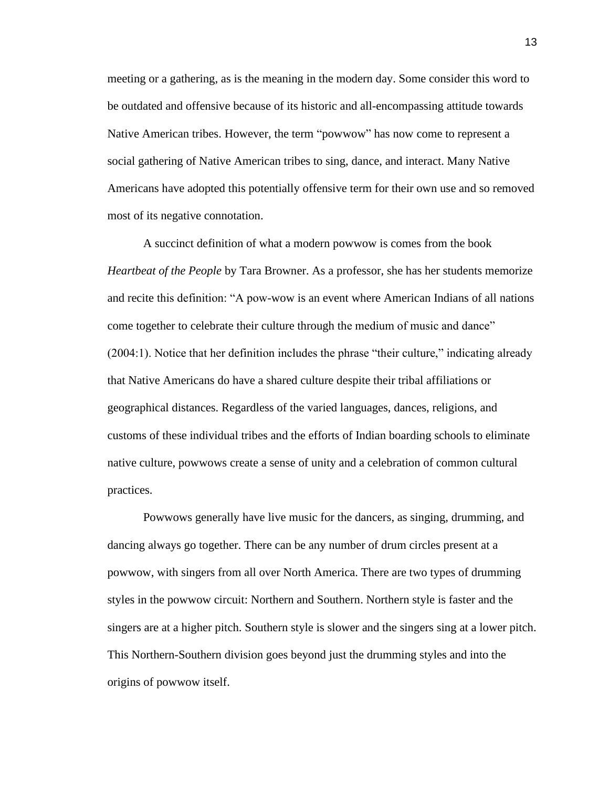meeting or a gathering, as is the meaning in the modern day. Some consider this word to be outdated and offensive because of its historic and all-encompassing attitude towards Native American tribes. However, the term "powwow" has now come to represent a social gathering of Native American tribes to sing, dance, and interact. Many Native Americans have adopted this potentially offensive term for their own use and so removed most of its negative connotation.

A succinct definition of what a modern powwow is comes from the book *Heartbeat of the People* by Tara Browner. As a professor, she has her students memorize and recite this definition: "A pow-wow is an event where American Indians of all nations come together to celebrate their culture through the medium of music and dance" (2004:1). Notice that her definition includes the phrase "their culture," indicating already that Native Americans do have a shared culture despite their tribal affiliations or geographical distances. Regardless of the varied languages, dances, religions, and customs of these individual tribes and the efforts of Indian boarding schools to eliminate native culture, powwows create a sense of unity and a celebration of common cultural practices.

Powwows generally have live music for the dancers, as singing, drumming, and dancing always go together. There can be any number of drum circles present at a powwow, with singers from all over North America. There are two types of drumming styles in the powwow circuit: Northern and Southern. Northern style is faster and the singers are at a higher pitch. Southern style is slower and the singers sing at a lower pitch. This Northern-Southern division goes beyond just the drumming styles and into the origins of powwow itself.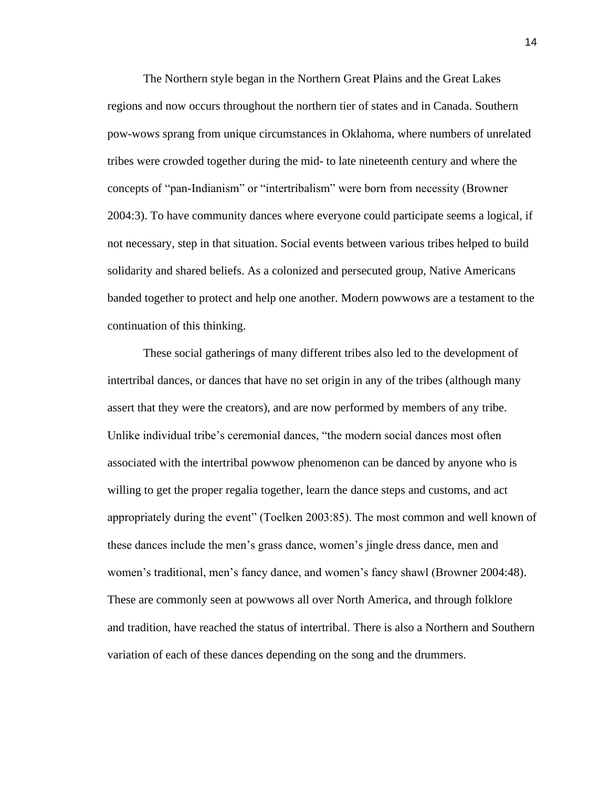The Northern style began in the Northern Great Plains and the Great Lakes regions and now occurs throughout the northern tier of states and in Canada. Southern pow-wows sprang from unique circumstances in Oklahoma, where numbers of unrelated tribes were crowded together during the mid- to late nineteenth century and where the concepts of "pan-Indianism" or "intertribalism" were born from necessity (Browner 2004:3). To have community dances where everyone could participate seems a logical, if not necessary, step in that situation. Social events between various tribes helped to build solidarity and shared beliefs. As a colonized and persecuted group, Native Americans banded together to protect and help one another. Modern powwows are a testament to the continuation of this thinking.

These social gatherings of many different tribes also led to the development of intertribal dances, or dances that have no set origin in any of the tribes (although many assert that they were the creators), and are now performed by members of any tribe. Unlike individual tribe's ceremonial dances, "the modern social dances most often associated with the intertribal powwow phenomenon can be danced by anyone who is willing to get the proper regalia together, learn the dance steps and customs, and act appropriately during the event" (Toelken 2003:85). The most common and well known of these dances include the men's grass dance, women's jingle dress dance, men and women's traditional, men's fancy dance, and women's fancy shawl (Browner 2004:48). These are commonly seen at powwows all over North America, and through folklore and tradition, have reached the status of intertribal. There is also a Northern and Southern variation of each of these dances depending on the song and the drummers.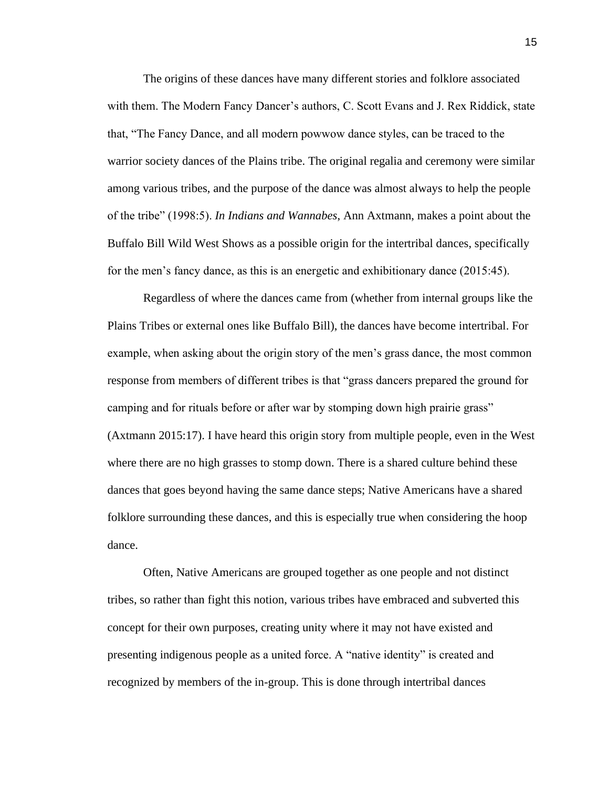The origins of these dances have many different stories and folklore associated with them. The Modern Fancy Dancer's authors, C. Scott Evans and J. Rex Riddick, state that, "The Fancy Dance, and all modern powwow dance styles, can be traced to the warrior society dances of the Plains tribe. The original regalia and ceremony were similar among various tribes, and the purpose of the dance was almost always to help the people of the tribe" (1998:5). *In Indians and Wannabes*, Ann Axtmann, makes a point about the Buffalo Bill Wild West Shows as a possible origin for the intertribal dances, specifically for the men's fancy dance, as this is an energetic and exhibitionary dance (2015:45).

Regardless of where the dances came from (whether from internal groups like the Plains Tribes or external ones like Buffalo Bill), the dances have become intertribal. For example, when asking about the origin story of the men's grass dance, the most common response from members of different tribes is that "grass dancers prepared the ground for camping and for rituals before or after war by stomping down high prairie grass" (Axtmann 2015:17). I have heard this origin story from multiple people, even in the West where there are no high grasses to stomp down. There is a shared culture behind these dances that goes beyond having the same dance steps; Native Americans have a shared folklore surrounding these dances, and this is especially true when considering the hoop dance.

Often, Native Americans are grouped together as one people and not distinct tribes, so rather than fight this notion, various tribes have embraced and subverted this concept for their own purposes, creating unity where it may not have existed and presenting indigenous people as a united force. A "native identity" is created and recognized by members of the in-group. This is done through intertribal dances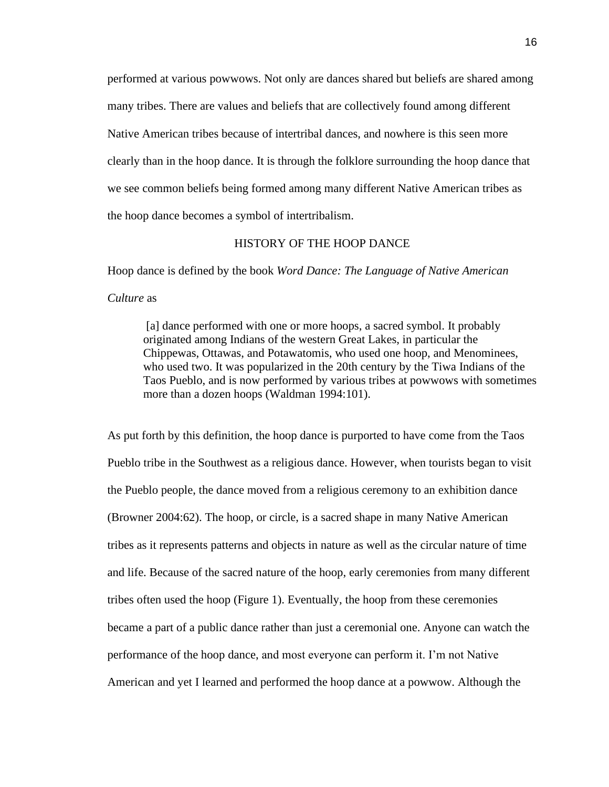performed at various powwows. Not only are dances shared but beliefs are shared among many tribes. There are values and beliefs that are collectively found among different Native American tribes because of intertribal dances, and nowhere is this seen more clearly than in the hoop dance. It is through the folklore surrounding the hoop dance that we see common beliefs being formed among many different Native American tribes as the hoop dance becomes a symbol of intertribalism.

### HISTORY OF THE HOOP DANCE

Hoop dance is defined by the book *Word Dance: The Language of Native American Culture* as

[a] dance performed with one or more hoops, a sacred symbol. It probably originated among Indians of the western Great Lakes, in particular the Chippewas, Ottawas, and Potawatomis, who used one hoop, and Menominees, who used two. It was popularized in the 20th century by the Tiwa Indians of the Taos Pueblo, and is now performed by various tribes at powwows with sometimes more than a dozen hoops (Waldman 1994:101).

As put forth by this definition, the hoop dance is purported to have come from the Taos Pueblo tribe in the Southwest as a religious dance. However, when tourists began to visit the Pueblo people, the dance moved from a religious ceremony to an exhibition dance (Browner 2004:62). The hoop, or circle, is a sacred shape in many Native American tribes as it represents patterns and objects in nature as well as the circular nature of time and life. Because of the sacred nature of the hoop, early ceremonies from many different tribes often used the hoop (Figure 1). Eventually, the hoop from these ceremonies became a part of a public dance rather than just a ceremonial one. Anyone can watch the performance of the hoop dance, and most everyone can perform it. I'm not Native American and yet I learned and performed the hoop dance at a powwow. Although the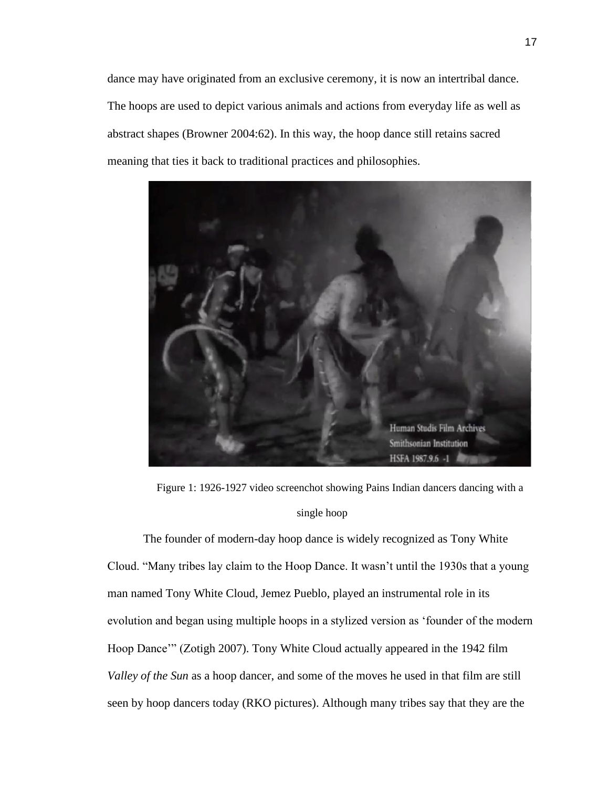dance may have originated from an exclusive ceremony, it is now an intertribal dance. The hoops are used to depict various animals and actions from everyday life as well as abstract shapes (Browner 2004:62). In this way, the hoop dance still retains sacred meaning that ties it back to traditional practices and philosophies.



Figure 1: 1926-1927 video screenchot showing Pains Indian dancers dancing with a single hoop

The founder of modern-day hoop dance is widely recognized as Tony White Cloud. "Many tribes lay claim to the Hoop Dance. It wasn't until the 1930s that a young man named Tony White Cloud, Jemez Pueblo, played an instrumental role in its evolution and began using multiple hoops in a stylized version as 'founder of the modern Hoop Dance'" (Zotigh 2007). Tony White Cloud actually appeared in the 1942 film *Valley of the Sun* as a hoop dancer, and some of the moves he used in that film are still seen by hoop dancers today (RKO pictures). Although many tribes say that they are the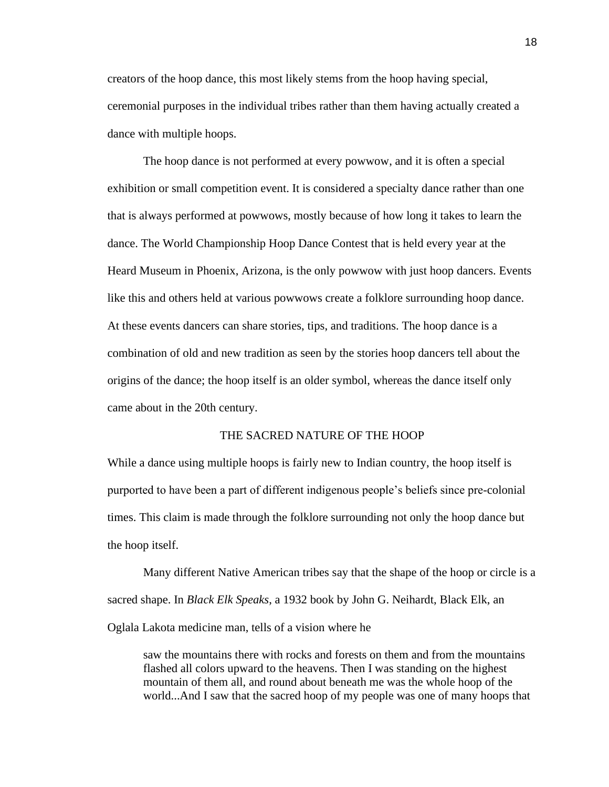creators of the hoop dance, this most likely stems from the hoop having special, ceremonial purposes in the individual tribes rather than them having actually created a dance with multiple hoops.

The hoop dance is not performed at every powwow, and it is often a special exhibition or small competition event. It is considered a specialty dance rather than one that is always performed at powwows, mostly because of how long it takes to learn the dance. The World Championship Hoop Dance Contest that is held every year at the Heard Museum in Phoenix, Arizona, is the only powwow with just hoop dancers. Events like this and others held at various powwows create a folklore surrounding hoop dance. At these events dancers can share stories, tips, and traditions. The hoop dance is a combination of old and new tradition as seen by the stories hoop dancers tell about the origins of the dance; the hoop itself is an older symbol, whereas the dance itself only came about in the 20th century.

### THE SACRED NATURE OF THE HOOP

While a dance using multiple hoops is fairly new to Indian country, the hoop itself is purported to have been a part of different indigenous people's beliefs since pre-colonial times. This claim is made through the folklore surrounding not only the hoop dance but the hoop itself.

Many different Native American tribes say that the shape of the hoop or circle is a sacred shape. In *Black Elk Speaks*, a 1932 book by John G. Neihardt, Black Elk, an Oglala Lakota medicine man, tells of a vision where he

saw the mountains there with rocks and forests on them and from the mountains flashed all colors upward to the heavens. Then I was standing on the highest mountain of them all, and round about beneath me was the whole hoop of the world...And I saw that the sacred hoop of my people was one of many hoops that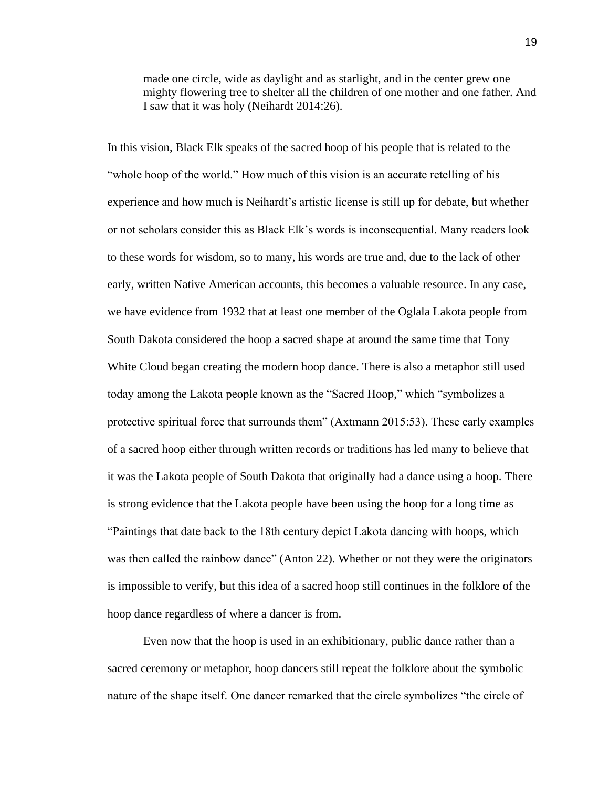made one circle, wide as daylight and as starlight, and in the center grew one mighty flowering tree to shelter all the children of one mother and one father. And I saw that it was holy (Neihardt 2014:26).

In this vision, Black Elk speaks of the sacred hoop of his people that is related to the "whole hoop of the world." How much of this vision is an accurate retelling of his experience and how much is Neihardt's artistic license is still up for debate, but whether or not scholars consider this as Black Elk's words is inconsequential. Many readers look to these words for wisdom, so to many, his words are true and, due to the lack of other early, written Native American accounts, this becomes a valuable resource. In any case, we have evidence from 1932 that at least one member of the Oglala Lakota people from South Dakota considered the hoop a sacred shape at around the same time that Tony White Cloud began creating the modern hoop dance. There is also a metaphor still used today among the Lakota people known as the "Sacred Hoop," which "symbolizes a protective spiritual force that surrounds them" (Axtmann 2015:53). These early examples of a sacred hoop either through written records or traditions has led many to believe that it was the Lakota people of South Dakota that originally had a dance using a hoop. There is strong evidence that the Lakota people have been using the hoop for a long time as "Paintings that date back to the 18th century depict Lakota dancing with hoops, which was then called the rainbow dance" (Anton 22). Whether or not they were the originators is impossible to verify, but this idea of a sacred hoop still continues in the folklore of the hoop dance regardless of where a dancer is from.

Even now that the hoop is used in an exhibitionary, public dance rather than a sacred ceremony or metaphor, hoop dancers still repeat the folklore about the symbolic nature of the shape itself. One dancer remarked that the circle symbolizes "the circle of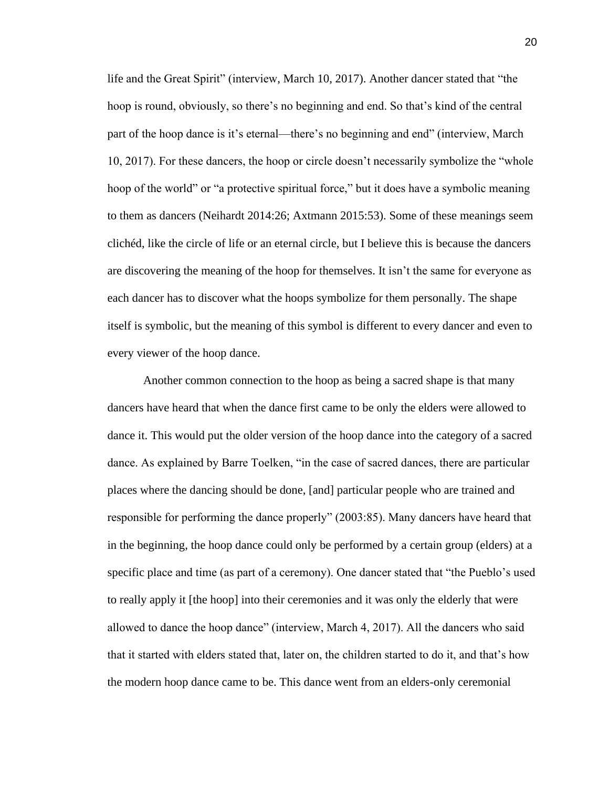life and the Great Spirit" (interview, March 10, 2017). Another dancer stated that "the hoop is round, obviously, so there's no beginning and end. So that's kind of the central part of the hoop dance is it's eternal—there's no beginning and end" (interview, March 10, 2017). For these dancers, the hoop or circle doesn't necessarily symbolize the "whole hoop of the world" or "a protective spiritual force," but it does have a symbolic meaning to them as dancers (Neihardt 2014:26; Axtmann 2015:53). Some of these meanings seem clichéd, like the circle of life or an eternal circle, but I believe this is because the dancers are discovering the meaning of the hoop for themselves. It isn't the same for everyone as each dancer has to discover what the hoops symbolize for them personally. The shape itself is symbolic, but the meaning of this symbol is different to every dancer and even to every viewer of the hoop dance.

Another common connection to the hoop as being a sacred shape is that many dancers have heard that when the dance first came to be only the elders were allowed to dance it. This would put the older version of the hoop dance into the category of a sacred dance. As explained by Barre Toelken, "in the case of sacred dances, there are particular places where the dancing should be done, [and] particular people who are trained and responsible for performing the dance properly" (2003:85). Many dancers have heard that in the beginning, the hoop dance could only be performed by a certain group (elders) at a specific place and time (as part of a ceremony). One dancer stated that "the Pueblo's used to really apply it [the hoop] into their ceremonies and it was only the elderly that were allowed to dance the hoop dance" (interview, March 4, 2017). All the dancers who said that it started with elders stated that, later on, the children started to do it, and that's how the modern hoop dance came to be. This dance went from an elders-only ceremonial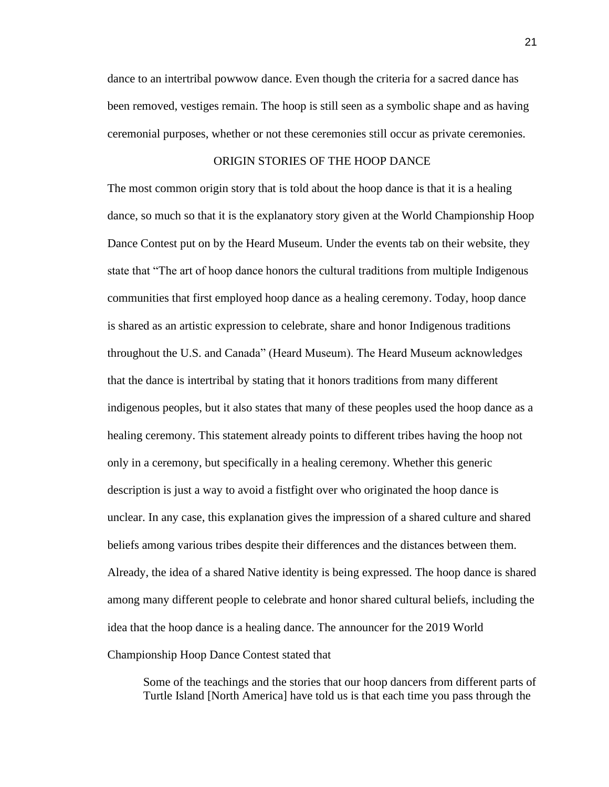dance to an intertribal powwow dance. Even though the criteria for a sacred dance has been removed, vestiges remain. The hoop is still seen as a symbolic shape and as having ceremonial purposes, whether or not these ceremonies still occur as private ceremonies.

### ORIGIN STORIES OF THE HOOP DANCE

The most common origin story that is told about the hoop dance is that it is a healing dance, so much so that it is the explanatory story given at the World Championship Hoop Dance Contest put on by the Heard Museum. Under the events tab on their website, they state that "The art of hoop dance honors the cultural traditions from multiple Indigenous communities that first employed hoop dance as a healing ceremony. Today, hoop dance is shared as an artistic expression to celebrate, share and honor Indigenous traditions throughout the U.S. and Canada" (Heard Museum). The Heard Museum acknowledges that the dance is intertribal by stating that it honors traditions from many different indigenous peoples, but it also states that many of these peoples used the hoop dance as a healing ceremony. This statement already points to different tribes having the hoop not only in a ceremony, but specifically in a healing ceremony. Whether this generic description is just a way to avoid a fistfight over who originated the hoop dance is unclear. In any case, this explanation gives the impression of a shared culture and shared beliefs among various tribes despite their differences and the distances between them. Already, the idea of a shared Native identity is being expressed. The hoop dance is shared among many different people to celebrate and honor shared cultural beliefs, including the idea that the hoop dance is a healing dance. The announcer for the 2019 World Championship Hoop Dance Contest stated that

Some of the teachings and the stories that our hoop dancers from different parts of Turtle Island [North America] have told us is that each time you pass through the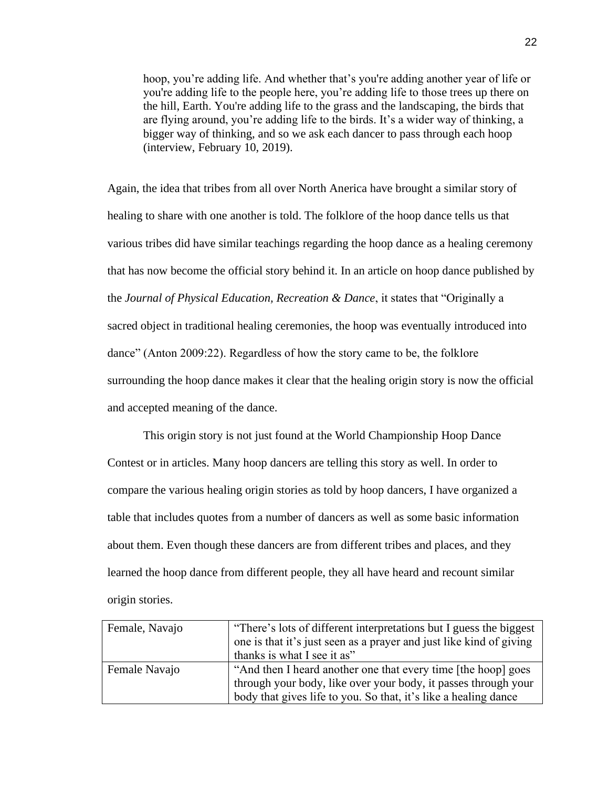hoop, you're adding life. And whether that's you're adding another year of life or you're adding life to the people here, you're adding life to those trees up there on the hill, Earth. You're adding life to the grass and the landscaping, the birds that are flying around, you're adding life to the birds. It's a wider way of thinking, a bigger way of thinking, and so we ask each dancer to pass through each hoop (interview, February 10, 2019).

Again, the idea that tribes from all over North Anerica have brought a similar story of healing to share with one another is told. The folklore of the hoop dance tells us that various tribes did have similar teachings regarding the hoop dance as a healing ceremony that has now become the official story behind it. In an article on hoop dance published by the *Journal of Physical Education, Recreation & Dance*, it states that "Originally a sacred object in traditional healing ceremonies, the hoop was eventually introduced into dance" (Anton 2009:22). Regardless of how the story came to be, the folklore surrounding the hoop dance makes it clear that the healing origin story is now the official and accepted meaning of the dance.

This origin story is not just found at the World Championship Hoop Dance Contest or in articles. Many hoop dancers are telling this story as well. In order to compare the various healing origin stories as told by hoop dancers, I have organized a table that includes quotes from a number of dancers as well as some basic information about them. Even though these dancers are from different tribes and places, and they learned the hoop dance from different people, they all have heard and recount similar origin stories.

| Female, Navajo | "There's lots of different interpretations but I guess the biggest  |
|----------------|---------------------------------------------------------------------|
|                | one is that it's just seen as a prayer and just like kind of giving |
|                | thanks is what I see it as"                                         |
| Female Navajo  | "And then I heard another one that every time [the hoop] goes       |
|                | through your body, like over your body, it passes through your      |
|                | body that gives life to you. So that, it's like a healing dance     |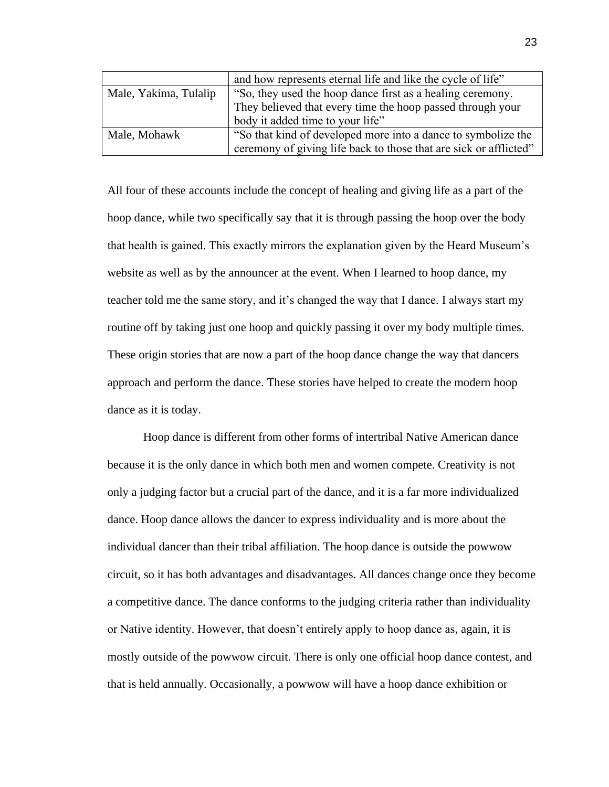|                       | and how represents eternal life and like the cycle of life"       |
|-----------------------|-------------------------------------------------------------------|
| Male, Yakima, Tulalip | "So, they used the hoop dance first as a healing ceremony.        |
|                       | They believed that every time the hoop passed through your        |
|                       | body it added time to your life"                                  |
| Male, Mohawk          | "So that kind of developed more into a dance to symbolize the     |
|                       | ceremony of giving life back to those that are sick or afflicted" |

All four of these accounts include the concept of healing and giving life as a part of the hoop dance, while two specifically say that it is through passing the hoop over the body that health is gained. This exactly mirrors the explanation given by the Heard Museum's website as well as by the announcer at the event. When I learned to hoop dance, my teacher told me the same story, and it's changed the way that I dance. I always start my routine off by taking just one hoop and quickly passing it over my body multiple times. These origin stories that are now a part of the hoop dance change the way that dancers approach and perform the dance. These stories have helped to create the modern hoop dance as it is today.

Hoop dance is different from other forms of intertribal Native American dance because it is the only dance in which both men and women compete. Creativity is not only a judging factor but a crucial part of the dance, and it is a far more individualized dance. Hoop dance allows the dancer to express individuality and is more about the individual dancer than their tribal affiliation. The hoop dance is outside the powwow circuit, so it has both advantages and disadvantages. All dances change once they become a competitive dance. The dance conforms to the judging criteria rather than individuality or Native identity. However, that doesn't entirely apply to hoop dance as, again, it is mostly outside of the powwow circuit. There is only one official hoop dance contest, and that is held annually. Occasionally, a powwow will have a hoop dance exhibition or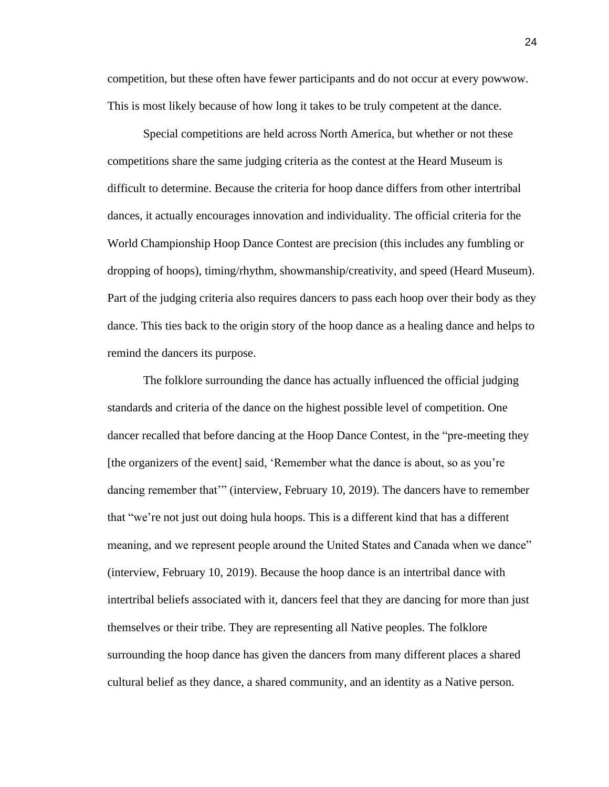competition, but these often have fewer participants and do not occur at every powwow. This is most likely because of how long it takes to be truly competent at the dance.

Special competitions are held across North America, but whether or not these competitions share the same judging criteria as the contest at the Heard Museum is difficult to determine. Because the criteria for hoop dance differs from other intertribal dances, it actually encourages innovation and individuality. The official criteria for the World Championship Hoop Dance Contest are precision (this includes any fumbling or dropping of hoops), timing/rhythm, showmanship/creativity, and speed (Heard Museum). Part of the judging criteria also requires dancers to pass each hoop over their body as they dance. This ties back to the origin story of the hoop dance as a healing dance and helps to remind the dancers its purpose.

The folklore surrounding the dance has actually influenced the official judging standards and criteria of the dance on the highest possible level of competition. One dancer recalled that before dancing at the Hoop Dance Contest, in the "pre-meeting they [the organizers of the event] said, 'Remember what the dance is about, so as you're dancing remember that'" (interview, February 10, 2019). The dancers have to remember that "we're not just out doing hula hoops. This is a different kind that has a different meaning, and we represent people around the United States and Canada when we dance" (interview, February 10, 2019). Because the hoop dance is an intertribal dance with intertribal beliefs associated with it, dancers feel that they are dancing for more than just themselves or their tribe. They are representing all Native peoples. The folklore surrounding the hoop dance has given the dancers from many different places a shared cultural belief as they dance, a shared community, and an identity as a Native person.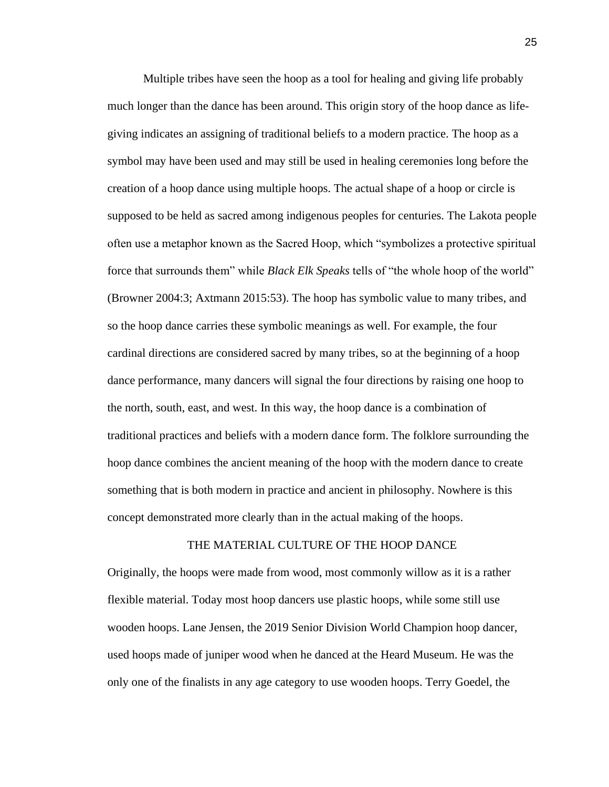Multiple tribes have seen the hoop as a tool for healing and giving life probably much longer than the dance has been around. This origin story of the hoop dance as lifegiving indicates an assigning of traditional beliefs to a modern practice. The hoop as a symbol may have been used and may still be used in healing ceremonies long before the creation of a hoop dance using multiple hoops. The actual shape of a hoop or circle is supposed to be held as sacred among indigenous peoples for centuries. The Lakota people often use a metaphor known as the Sacred Hoop, which "symbolizes a protective spiritual force that surrounds them" while *Black Elk Speaks* tells of "the whole hoop of the world" (Browner 2004:3; Axtmann 2015:53). The hoop has symbolic value to many tribes, and so the hoop dance carries these symbolic meanings as well. For example, the four cardinal directions are considered sacred by many tribes, so at the beginning of a hoop dance performance, many dancers will signal the four directions by raising one hoop to the north, south, east, and west. In this way, the hoop dance is a combination of traditional practices and beliefs with a modern dance form. The folklore surrounding the hoop dance combines the ancient meaning of the hoop with the modern dance to create something that is both modern in practice and ancient in philosophy. Nowhere is this concept demonstrated more clearly than in the actual making of the hoops.

### THE MATERIAL CULTURE OF THE HOOP DANCE

Originally, the hoops were made from wood, most commonly willow as it is a rather flexible material. Today most hoop dancers use plastic hoops, while some still use wooden hoops. Lane Jensen, the 2019 Senior Division World Champion hoop dancer, used hoops made of juniper wood when he danced at the Heard Museum. He was the only one of the finalists in any age category to use wooden hoops. Terry Goedel, the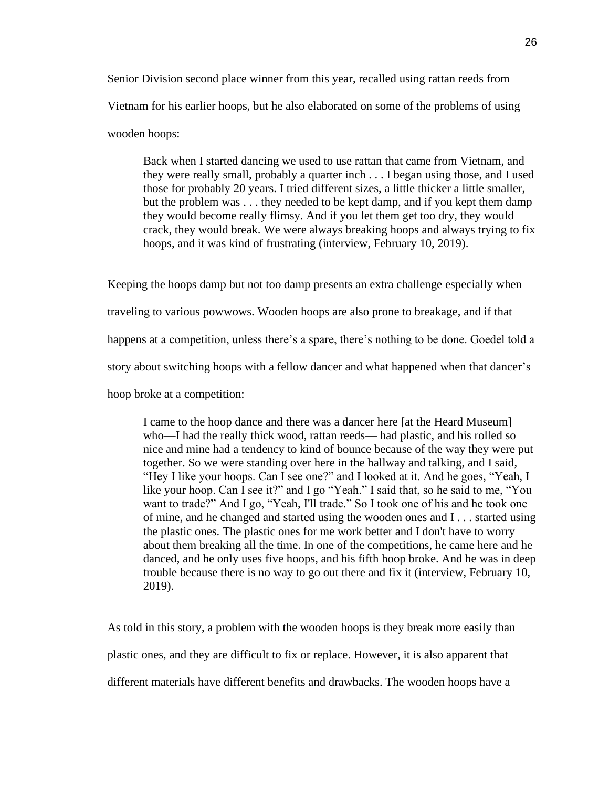Senior Division second place winner from this year, recalled using rattan reeds from Vietnam for his earlier hoops, but he also elaborated on some of the problems of using wooden hoops:

Back when I started dancing we used to use rattan that came from Vietnam, and they were really small, probably a quarter inch . . . I began using those, and I used those for probably 20 years. I tried different sizes, a little thicker a little smaller, but the problem was . . . they needed to be kept damp, and if you kept them damp they would become really flimsy. And if you let them get too dry, they would crack, they would break. We were always breaking hoops and always trying to fix hoops, and it was kind of frustrating (interview, February 10, 2019).

Keeping the hoops damp but not too damp presents an extra challenge especially when traveling to various powwows. Wooden hoops are also prone to breakage, and if that happens at a competition, unless there's a spare, there's nothing to be done. Goedel told a story about switching hoops with a fellow dancer and what happened when that dancer's hoop broke at a competition:

I came to the hoop dance and there was a dancer here [at the Heard Museum] who—I had the really thick wood, rattan reeds— had plastic, and his rolled so nice and mine had a tendency to kind of bounce because of the way they were put together. So we were standing over here in the hallway and talking, and I said, "Hey I like your hoops. Can I see one?" and I looked at it. And he goes, "Yeah, I like your hoop. Can I see it?" and I go "Yeah." I said that, so he said to me, "You want to trade?" And I go, "Yeah, I'll trade." So I took one of his and he took one of mine, and he changed and started using the wooden ones and I . . . started using the plastic ones. The plastic ones for me work better and I don't have to worry about them breaking all the time. In one of the competitions, he came here and he danced, and he only uses five hoops, and his fifth hoop broke. And he was in deep trouble because there is no way to go out there and fix it (interview, February 10, 2019).

As told in this story, a problem with the wooden hoops is they break more easily than plastic ones, and they are difficult to fix or replace. However, it is also apparent that different materials have different benefits and drawbacks. The wooden hoops have a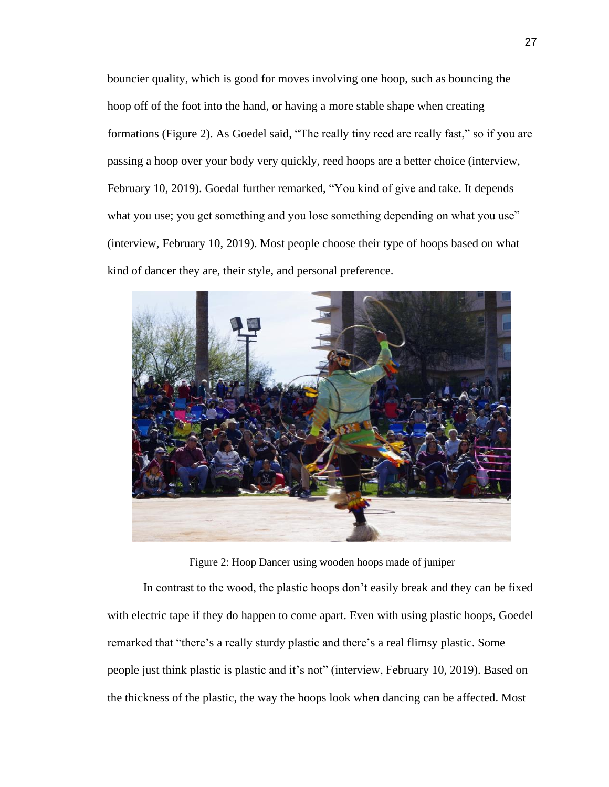bouncier quality, which is good for moves involving one hoop, such as bouncing the hoop off of the foot into the hand, or having a more stable shape when creating formations (Figure 2). As Goedel said, "The really tiny reed are really fast," so if you are passing a hoop over your body very quickly, reed hoops are a better choice (interview, February 10, 2019). Goedal further remarked, "You kind of give and take. It depends what you use; you get something and you lose something depending on what you use" (interview, February 10, 2019). Most people choose their type of hoops based on what kind of dancer they are, their style, and personal preference.



Figure 2: Hoop Dancer using wooden hoops made of juniper

In contrast to the wood, the plastic hoops don't easily break and they can be fixed with electric tape if they do happen to come apart. Even with using plastic hoops, Goedel remarked that "there's a really sturdy plastic and there's a real flimsy plastic. Some people just think plastic is plastic and it's not" (interview, February 10, 2019). Based on the thickness of the plastic, the way the hoops look when dancing can be affected. Most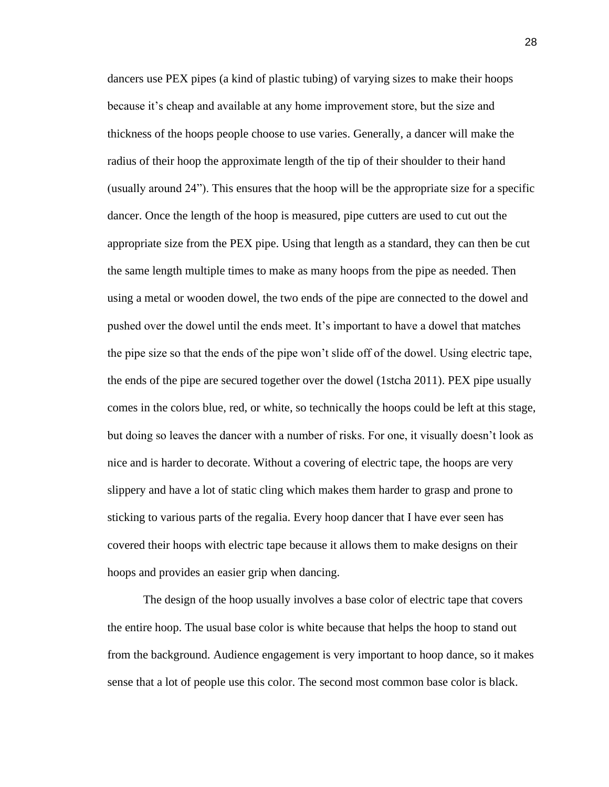dancers use PEX pipes (a kind of plastic tubing) of varying sizes to make their hoops because it's cheap and available at any home improvement store, but the size and thickness of the hoops people choose to use varies. Generally, a dancer will make the radius of their hoop the approximate length of the tip of their shoulder to their hand (usually around 24"). This ensures that the hoop will be the appropriate size for a specific dancer. Once the length of the hoop is measured, pipe cutters are used to cut out the appropriate size from the PEX pipe. Using that length as a standard, they can then be cut the same length multiple times to make as many hoops from the pipe as needed. Then using a metal or wooden dowel, the two ends of the pipe are connected to the dowel and pushed over the dowel until the ends meet. It's important to have a dowel that matches the pipe size so that the ends of the pipe won't slide off of the dowel. Using electric tape, the ends of the pipe are secured together over the dowel (1stcha 2011). PEX pipe usually comes in the colors blue, red, or white, so technically the hoops could be left at this stage, but doing so leaves the dancer with a number of risks. For one, it visually doesn't look as nice and is harder to decorate. Without a covering of electric tape, the hoops are very slippery and have a lot of static cling which makes them harder to grasp and prone to sticking to various parts of the regalia. Every hoop dancer that I have ever seen has covered their hoops with electric tape because it allows them to make designs on their hoops and provides an easier grip when dancing.

The design of the hoop usually involves a base color of electric tape that covers the entire hoop. The usual base color is white because that helps the hoop to stand out from the background. Audience engagement is very important to hoop dance, so it makes sense that a lot of people use this color. The second most common base color is black.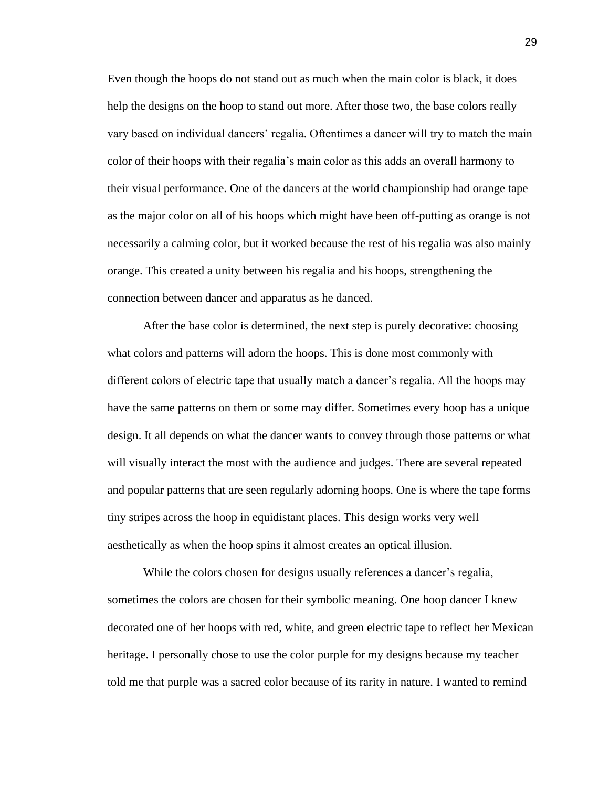Even though the hoops do not stand out as much when the main color is black, it does help the designs on the hoop to stand out more. After those two, the base colors really vary based on individual dancers' regalia. Oftentimes a dancer will try to match the main color of their hoops with their regalia's main color as this adds an overall harmony to their visual performance. One of the dancers at the world championship had orange tape as the major color on all of his hoops which might have been off-putting as orange is not necessarily a calming color, but it worked because the rest of his regalia was also mainly orange. This created a unity between his regalia and his hoops, strengthening the connection between dancer and apparatus as he danced.

After the base color is determined, the next step is purely decorative: choosing what colors and patterns will adorn the hoops. This is done most commonly with different colors of electric tape that usually match a dancer's regalia. All the hoops may have the same patterns on them or some may differ. Sometimes every hoop has a unique design. It all depends on what the dancer wants to convey through those patterns or what will visually interact the most with the audience and judges. There are several repeated and popular patterns that are seen regularly adorning hoops. One is where the tape forms tiny stripes across the hoop in equidistant places. This design works very well aesthetically as when the hoop spins it almost creates an optical illusion.

While the colors chosen for designs usually references a dancer's regalia, sometimes the colors are chosen for their symbolic meaning. One hoop dancer I knew decorated one of her hoops with red, white, and green electric tape to reflect her Mexican heritage. I personally chose to use the color purple for my designs because my teacher told me that purple was a sacred color because of its rarity in nature. I wanted to remind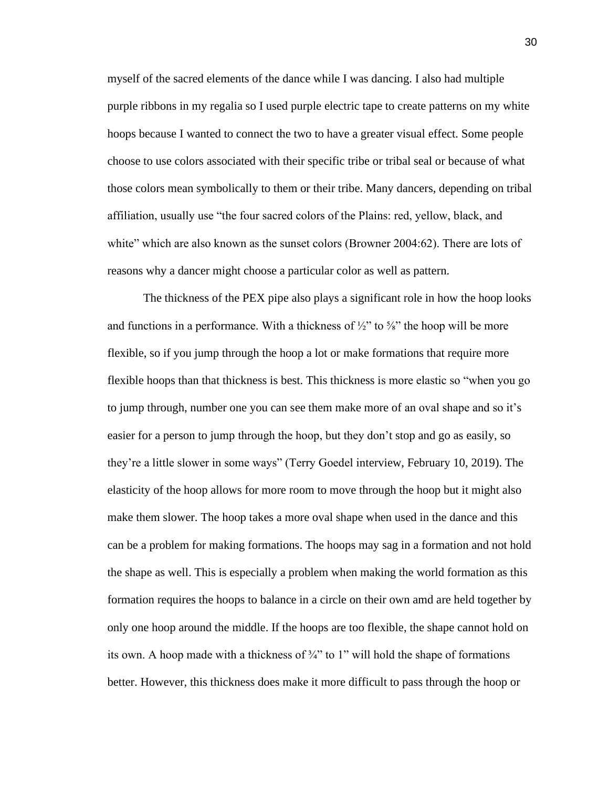myself of the sacred elements of the dance while I was dancing. I also had multiple purple ribbons in my regalia so I used purple electric tape to create patterns on my white hoops because I wanted to connect the two to have a greater visual effect. Some people choose to use colors associated with their specific tribe or tribal seal or because of what those colors mean symbolically to them or their tribe. Many dancers, depending on tribal affiliation, usually use "the four sacred colors of the Plains: red, yellow, black, and white" which are also known as the sunset colors (Browner 2004:62). There are lots of reasons why a dancer might choose a particular color as well as pattern.

The thickness of the PEX pipe also plays a significant role in how the hoop looks and functions in a performance. With a thickness of  $\frac{1}{2}$  to  $\frac{5}{8}$  the hoop will be more flexible, so if you jump through the hoop a lot or make formations that require more flexible hoops than that thickness is best. This thickness is more elastic so "when you go to jump through, number one you can see them make more of an oval shape and so it's easier for a person to jump through the hoop, but they don't stop and go as easily, so they're a little slower in some ways" (Terry Goedel interview, February 10, 2019). The elasticity of the hoop allows for more room to move through the hoop but it might also make them slower. The hoop takes a more oval shape when used in the dance and this can be a problem for making formations. The hoops may sag in a formation and not hold the shape as well. This is especially a problem when making the world formation as this formation requires the hoops to balance in a circle on their own amd are held together by only one hoop around the middle. If the hoops are too flexible, the shape cannot hold on its own. A hoop made with a thickness of  $\frac{3}{4}$ " to 1" will hold the shape of formations better. However, this thickness does make it more difficult to pass through the hoop or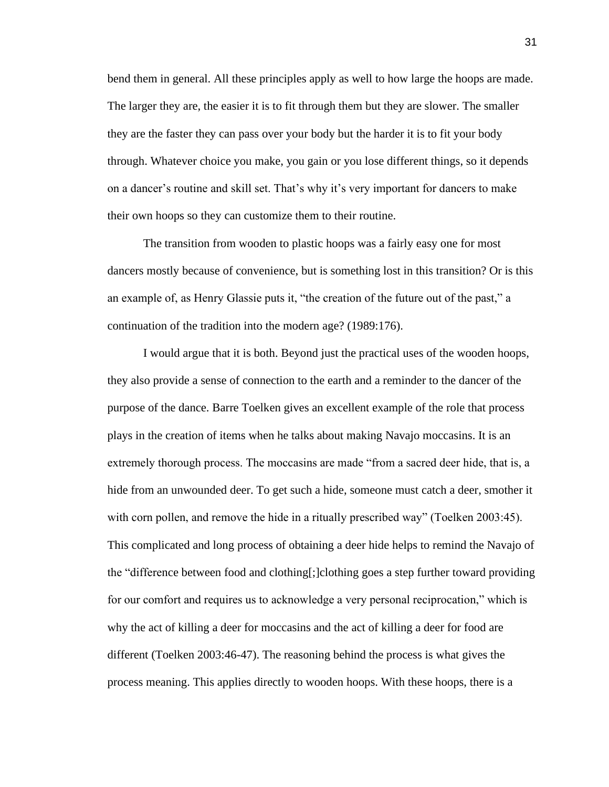bend them in general. All these principles apply as well to how large the hoops are made. The larger they are, the easier it is to fit through them but they are slower. The smaller they are the faster they can pass over your body but the harder it is to fit your body through. Whatever choice you make, you gain or you lose different things, so it depends on a dancer's routine and skill set. That's why it's very important for dancers to make their own hoops so they can customize them to their routine.

The transition from wooden to plastic hoops was a fairly easy one for most dancers mostly because of convenience, but is something lost in this transition? Or is this an example of, as Henry Glassie puts it, "the creation of the future out of the past," a continuation of the tradition into the modern age? (1989:176).

I would argue that it is both. Beyond just the practical uses of the wooden hoops, they also provide a sense of connection to the earth and a reminder to the dancer of the purpose of the dance. Barre Toelken gives an excellent example of the role that process plays in the creation of items when he talks about making Navajo moccasins. It is an extremely thorough process. The moccasins are made "from a sacred deer hide, that is, a hide from an unwounded deer. To get such a hide, someone must catch a deer, smother it with corn pollen, and remove the hide in a ritually prescribed way" (Toelken 2003:45). This complicated and long process of obtaining a deer hide helps to remind the Navajo of the "difference between food and clothing[;]clothing goes a step further toward providing for our comfort and requires us to acknowledge a very personal reciprocation," which is why the act of killing a deer for moccasins and the act of killing a deer for food are different (Toelken 2003:46-47). The reasoning behind the process is what gives the process meaning. This applies directly to wooden hoops. With these hoops, there is a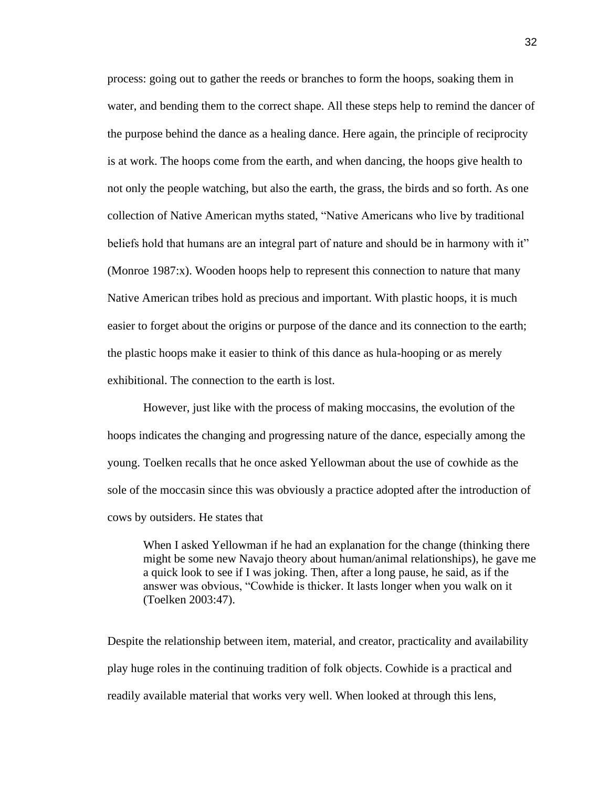process: going out to gather the reeds or branches to form the hoops, soaking them in water, and bending them to the correct shape. All these steps help to remind the dancer of the purpose behind the dance as a healing dance. Here again, the principle of reciprocity is at work. The hoops come from the earth, and when dancing, the hoops give health to not only the people watching, but also the earth, the grass, the birds and so forth. As one collection of Native American myths stated, "Native Americans who live by traditional beliefs hold that humans are an integral part of nature and should be in harmony with it" (Monroe 1987:x). Wooden hoops help to represent this connection to nature that many Native American tribes hold as precious and important. With plastic hoops, it is much easier to forget about the origins or purpose of the dance and its connection to the earth; the plastic hoops make it easier to think of this dance as hula-hooping or as merely exhibitional. The connection to the earth is lost.

However, just like with the process of making moccasins, the evolution of the hoops indicates the changing and progressing nature of the dance, especially among the young. Toelken recalls that he once asked Yellowman about the use of cowhide as the sole of the moccasin since this was obviously a practice adopted after the introduction of cows by outsiders. He states that

When I asked Yellowman if he had an explanation for the change (thinking there might be some new Navajo theory about human/animal relationships), he gave me a quick look to see if I was joking. Then, after a long pause, he said, as if the answer was obvious, "Cowhide is thicker. It lasts longer when you walk on it (Toelken 2003:47).

Despite the relationship between item, material, and creator, practicality and availability play huge roles in the continuing tradition of folk objects. Cowhide is a practical and readily available material that works very well. When looked at through this lens,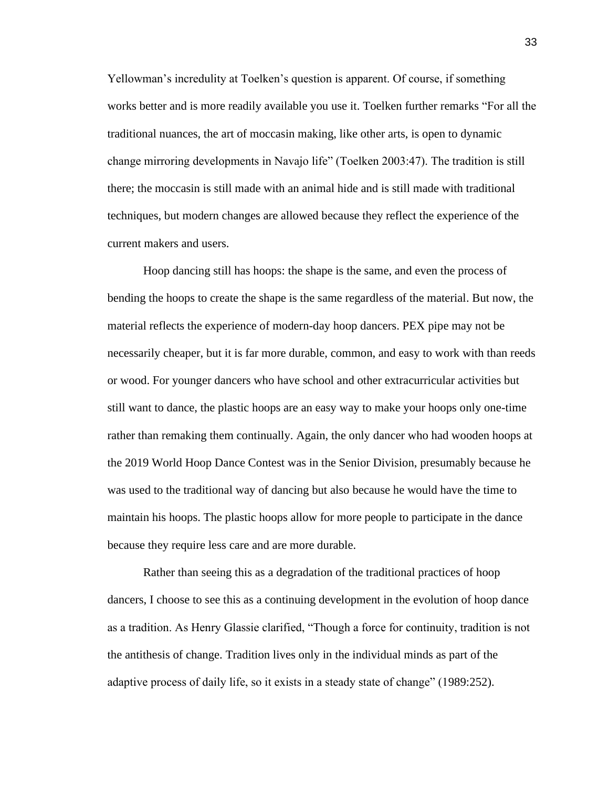Yellowman's incredulity at Toelken's question is apparent. Of course, if something works better and is more readily available you use it. Toelken further remarks "For all the traditional nuances, the art of moccasin making, like other arts, is open to dynamic change mirroring developments in Navajo life" (Toelken 2003:47). The tradition is still there; the moccasin is still made with an animal hide and is still made with traditional techniques, but modern changes are allowed because they reflect the experience of the current makers and users.

Hoop dancing still has hoops: the shape is the same, and even the process of bending the hoops to create the shape is the same regardless of the material. But now, the material reflects the experience of modern-day hoop dancers. PEX pipe may not be necessarily cheaper, but it is far more durable, common, and easy to work with than reeds or wood. For younger dancers who have school and other extracurricular activities but still want to dance, the plastic hoops are an easy way to make your hoops only one-time rather than remaking them continually. Again, the only dancer who had wooden hoops at the 2019 World Hoop Dance Contest was in the Senior Division, presumably because he was used to the traditional way of dancing but also because he would have the time to maintain his hoops. The plastic hoops allow for more people to participate in the dance because they require less care and are more durable.

Rather than seeing this as a degradation of the traditional practices of hoop dancers, I choose to see this as a continuing development in the evolution of hoop dance as a tradition. As Henry Glassie clarified, "Though a force for continuity, tradition is not the antithesis of change. Tradition lives only in the individual minds as part of the adaptive process of daily life, so it exists in a steady state of change" (1989:252).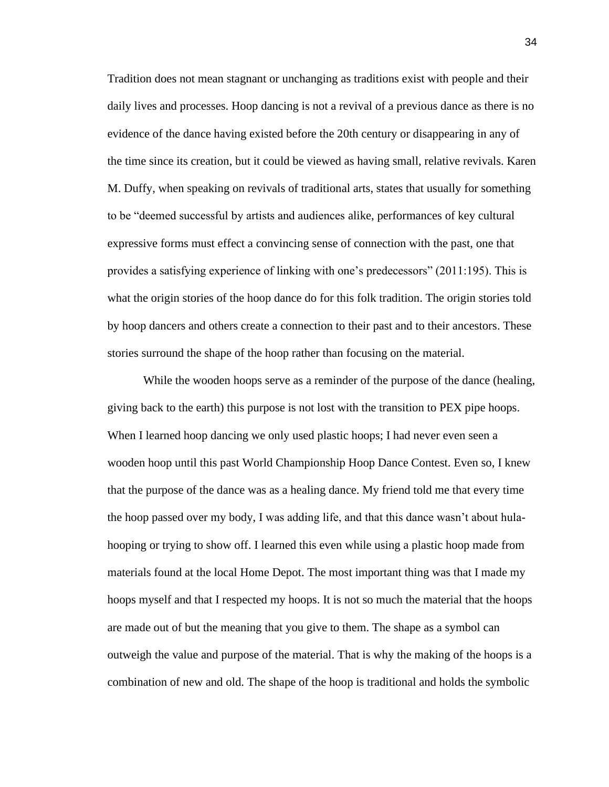Tradition does not mean stagnant or unchanging as traditions exist with people and their daily lives and processes. Hoop dancing is not a revival of a previous dance as there is no evidence of the dance having existed before the 20th century or disappearing in any of the time since its creation, but it could be viewed as having small, relative revivals. Karen M. Duffy, when speaking on revivals of traditional arts, states that usually for something to be "deemed successful by artists and audiences alike, performances of key cultural expressive forms must effect a convincing sense of connection with the past, one that provides a satisfying experience of linking with one's predecessors" (2011:195). This is what the origin stories of the hoop dance do for this folk tradition. The origin stories told by hoop dancers and others create a connection to their past and to their ancestors. These stories surround the shape of the hoop rather than focusing on the material.

While the wooden hoops serve as a reminder of the purpose of the dance (healing, giving back to the earth) this purpose is not lost with the transition to PEX pipe hoops. When I learned hoop dancing we only used plastic hoops; I had never even seen a wooden hoop until this past World Championship Hoop Dance Contest. Even so, I knew that the purpose of the dance was as a healing dance. My friend told me that every time the hoop passed over my body, I was adding life, and that this dance wasn't about hulahooping or trying to show off. I learned this even while using a plastic hoop made from materials found at the local Home Depot. The most important thing was that I made my hoops myself and that I respected my hoops. It is not so much the material that the hoops are made out of but the meaning that you give to them. The shape as a symbol can outweigh the value and purpose of the material. That is why the making of the hoops is a combination of new and old. The shape of the hoop is traditional and holds the symbolic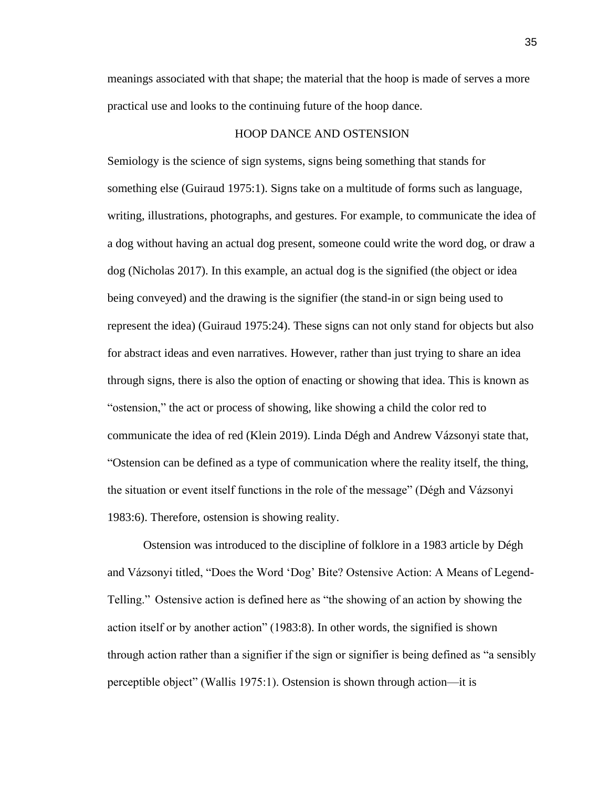meanings associated with that shape; the material that the hoop is made of serves a more practical use and looks to the continuing future of the hoop dance.

### HOOP DANCE AND OSTENSION

Semiology is the science of sign systems, signs being something that stands for something else (Guiraud 1975:1). Signs take on a multitude of forms such as language, writing, illustrations, photographs, and gestures. For example, to communicate the idea of a dog without having an actual dog present, someone could write the word dog, or draw a dog (Nicholas 2017). In this example, an actual dog is the signified (the object or idea being conveyed) and the drawing is the signifier (the stand-in or sign being used to represent the idea) (Guiraud 1975:24). These signs can not only stand for objects but also for abstract ideas and even narratives. However, rather than just trying to share an idea through signs, there is also the option of enacting or showing that idea. This is known as "ostension," the act or process of showing, like showing a child the color red to communicate the idea of red (Klein 2019). Linda Dégh and Andrew Vázsonyi state that, "Ostension can be defined as a type of communication where the reality itself, the thing, the situation or event itself functions in the role of the message" (Dégh and Vázsonyi 1983:6). Therefore, ostension is showing reality.

Ostension was introduced to the discipline of folklore in a 1983 article by Dégh and Vázsonyi titled, "Does the Word 'Dog' Bite? Ostensive Action: A Means of Legend-Telling." Ostensive action is defined here as "the showing of an action by showing the action itself or by another action" (1983:8). In other words, the signified is shown through action rather than a signifier if the sign or signifier is being defined as "a sensibly perceptible object" (Wallis 1975:1). Ostension is shown through action—it is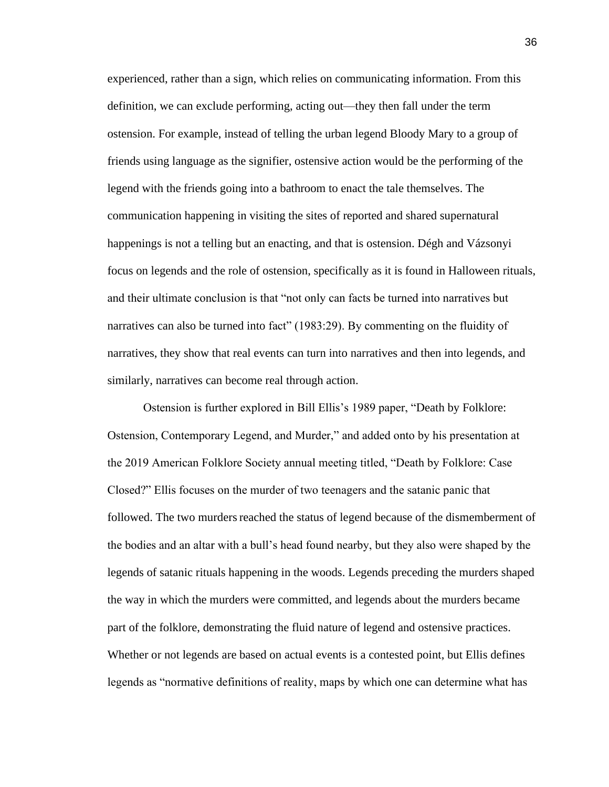experienced, rather than a sign, which relies on communicating information. From this definition, we can exclude performing, acting out—they then fall under the term ostension. For example, instead of telling the urban legend Bloody Mary to a group of friends using language as the signifier, ostensive action would be the performing of the legend with the friends going into a bathroom to enact the tale themselves. The communication happening in visiting the sites of reported and shared supernatural happenings is not a telling but an enacting, and that is ostension. Dégh and Vázsonyi focus on legends and the role of ostension, specifically as it is found in Halloween rituals, and their ultimate conclusion is that "not only can facts be turned into narratives but narratives can also be turned into fact" (1983:29). By commenting on the fluidity of narratives, they show that real events can turn into narratives and then into legends, and similarly, narratives can become real through action.

Ostension is further explored in Bill Ellis's 1989 paper, "Death by Folklore: Ostension, Contemporary Legend, and Murder," and added onto by his presentation at the 2019 American Folklore Society annual meeting titled, "Death by Folklore: Case Closed?" Ellis focuses on the murder of two teenagers and the satanic panic that followed. The two murders reached the status of legend because of the dismemberment of the bodies and an altar with a bull's head found nearby, but they also were shaped by the legends of satanic rituals happening in the woods. Legends preceding the murders shaped the way in which the murders were committed, and legends about the murders became part of the folklore, demonstrating the fluid nature of legend and ostensive practices. Whether or not legends are based on actual events is a contested point, but Ellis defines legends as "normative definitions of reality, maps by which one can determine what has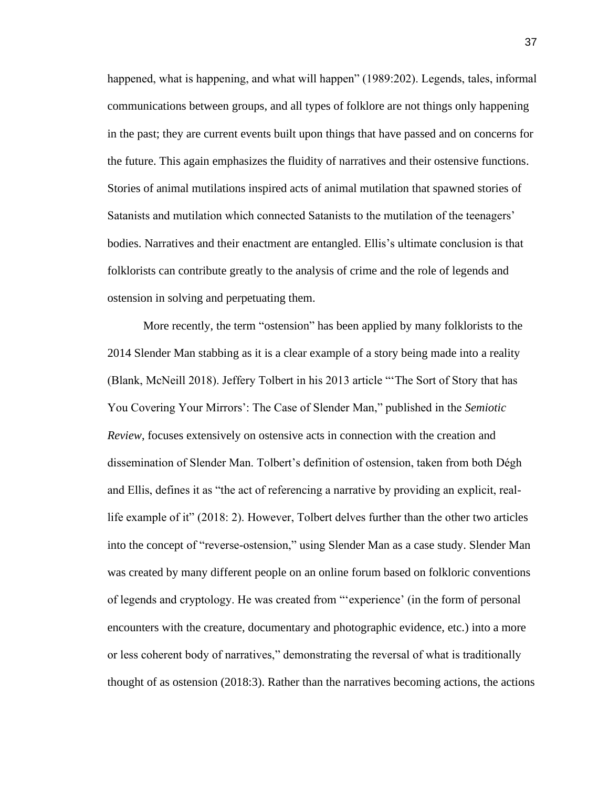happened, what is happening, and what will happen" (1989:202). Legends, tales, informal communications between groups, and all types of folklore are not things only happening in the past; they are current events built upon things that have passed and on concerns for the future. This again emphasizes the fluidity of narratives and their ostensive functions. Stories of animal mutilations inspired acts of animal mutilation that spawned stories of Satanists and mutilation which connected Satanists to the mutilation of the teenagers' bodies. Narratives and their enactment are entangled. Ellis's ultimate conclusion is that folklorists can contribute greatly to the analysis of crime and the role of legends and ostension in solving and perpetuating them.

More recently, the term "ostension" has been applied by many folklorists to the 2014 Slender Man stabbing as it is a clear example of a story being made into a reality (Blank, McNeill 2018). Jeffery Tolbert in his 2013 article "'The Sort of Story that has You Covering Your Mirrors': The Case of Slender Man," published in the *Semiotic Review*, focuses extensively on ostensive acts in connection with the creation and dissemination of Slender Man. Tolbert's definition of ostension, taken from both Dégh and Ellis, defines it as "the act of referencing a narrative by providing an explicit, reallife example of it" (2018: 2). However, Tolbert delves further than the other two articles into the concept of "reverse-ostension," using Slender Man as a case study. Slender Man was created by many different people on an online forum based on folkloric conventions of legends and cryptology. He was created from "'experience' (in the form of personal encounters with the creature, documentary and photographic evidence, etc.) into a more or less coherent body of narratives," demonstrating the reversal of what is traditionally thought of as ostension (2018:3). Rather than the narratives becoming actions, the actions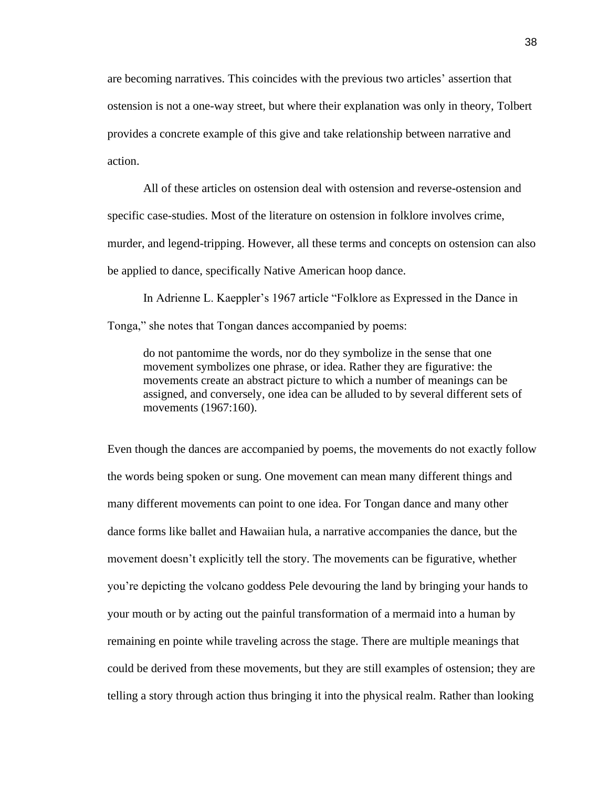are becoming narratives. This coincides with the previous two articles' assertion that ostension is not a one-way street, but where their explanation was only in theory, Tolbert provides a concrete example of this give and take relationship between narrative and action.

All of these articles on ostension deal with ostension and reverse-ostension and specific case-studies. Most of the literature on ostension in folklore involves crime, murder, and legend-tripping. However, all these terms and concepts on ostension can also be applied to dance, specifically Native American hoop dance.

In Adrienne L. Kaeppler's 1967 article "Folklore as Expressed in the Dance in Tonga," she notes that Tongan dances accompanied by poems:

do not pantomime the words, nor do they symbolize in the sense that one movement symbolizes one phrase, or idea. Rather they are figurative: the movements create an abstract picture to which a number of meanings can be assigned, and conversely, one idea can be alluded to by several different sets of movements (1967:160).

Even though the dances are accompanied by poems, the movements do not exactly follow the words being spoken or sung. One movement can mean many different things and many different movements can point to one idea. For Tongan dance and many other dance forms like ballet and Hawaiian hula, a narrative accompanies the dance, but the movement doesn't explicitly tell the story. The movements can be figurative, whether you're depicting the volcano goddess Pele devouring the land by bringing your hands to your mouth or by acting out the painful transformation of a mermaid into a human by remaining en pointe while traveling across the stage. There are multiple meanings that could be derived from these movements, but they are still examples of ostension; they are telling a story through action thus bringing it into the physical realm. Rather than looking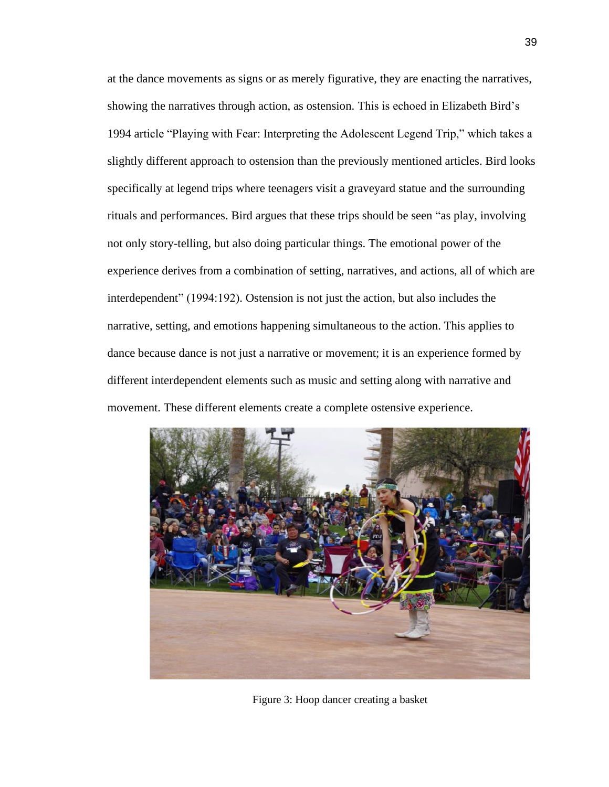at the dance movements as signs or as merely figurative, they are enacting the narratives, showing the narratives through action, as ostension. This is echoed in Elizabeth Bird's 1994 article "Playing with Fear: Interpreting the Adolescent Legend Trip," which takes a slightly different approach to ostension than the previously mentioned articles. Bird looks specifically at legend trips where teenagers visit a graveyard statue and the surrounding rituals and performances. Bird argues that these trips should be seen "as play, involving not only story-telling, but also doing particular things. The emotional power of the experience derives from a combination of setting, narratives, and actions, all of which are interdependent" (1994:192). Ostension is not just the action, but also includes the narrative, setting, and emotions happening simultaneous to the action. This applies to dance because dance is not just a narrative or movement; it is an experience formed by different interdependent elements such as music and setting along with narrative and movement. These different elements create a complete ostensive experience.



Figure 3: Hoop dancer creating a basket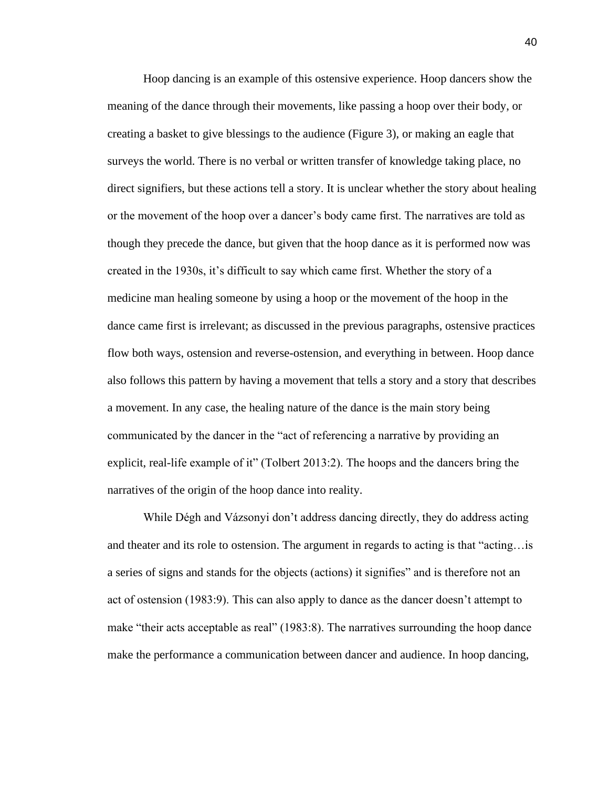Hoop dancing is an example of this ostensive experience. Hoop dancers show the meaning of the dance through their movements, like passing a hoop over their body, or creating a basket to give blessings to the audience (Figure 3), or making an eagle that surveys the world. There is no verbal or written transfer of knowledge taking place, no direct signifiers, but these actions tell a story. It is unclear whether the story about healing or the movement of the hoop over a dancer's body came first. The narratives are told as though they precede the dance, but given that the hoop dance as it is performed now was created in the 1930s, it's difficult to say which came first. Whether the story of a medicine man healing someone by using a hoop or the movement of the hoop in the dance came first is irrelevant; as discussed in the previous paragraphs, ostensive practices flow both ways, ostension and reverse-ostension, and everything in between. Hoop dance also follows this pattern by having a movement that tells a story and a story that describes a movement. In any case, the healing nature of the dance is the main story being communicated by the dancer in the "act of referencing a narrative by providing an explicit, real-life example of it" (Tolbert 2013:2). The hoops and the dancers bring the narratives of the origin of the hoop dance into reality.

While Dégh and Vázsonyi don't address dancing directly, they do address acting and theater and its role to ostension. The argument in regards to acting is that "acting…is a series of signs and stands for the objects (actions) it signifies" and is therefore not an act of ostension (1983:9). This can also apply to dance as the dancer doesn't attempt to make "their acts acceptable as real" (1983:8). The narratives surrounding the hoop dance make the performance a communication between dancer and audience. In hoop dancing,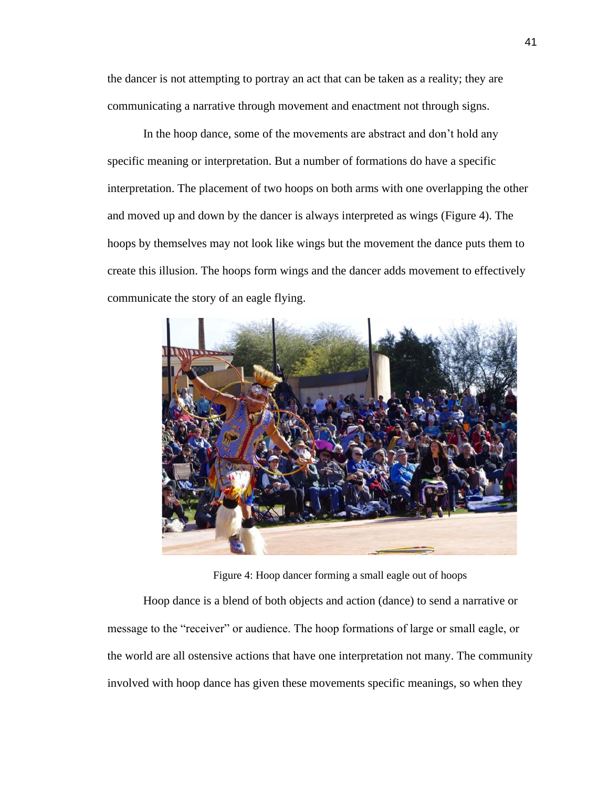the dancer is not attempting to portray an act that can be taken as a reality; they are communicating a narrative through movement and enactment not through signs.

In the hoop dance, some of the movements are abstract and don't hold any specific meaning or interpretation. But a number of formations do have a specific interpretation. The placement of two hoops on both arms with one overlapping the other and moved up and down by the dancer is always interpreted as wings (Figure 4). The hoops by themselves may not look like wings but the movement the dance puts them to create this illusion. The hoops form wings and the dancer adds movement to effectively communicate the story of an eagle flying.



Figure 4: Hoop dancer forming a small eagle out of hoops

Hoop dance is a blend of both objects and action (dance) to send a narrative or message to the "receiver" or audience. The hoop formations of large or small eagle, or the world are all ostensive actions that have one interpretation not many. The community involved with hoop dance has given these movements specific meanings, so when they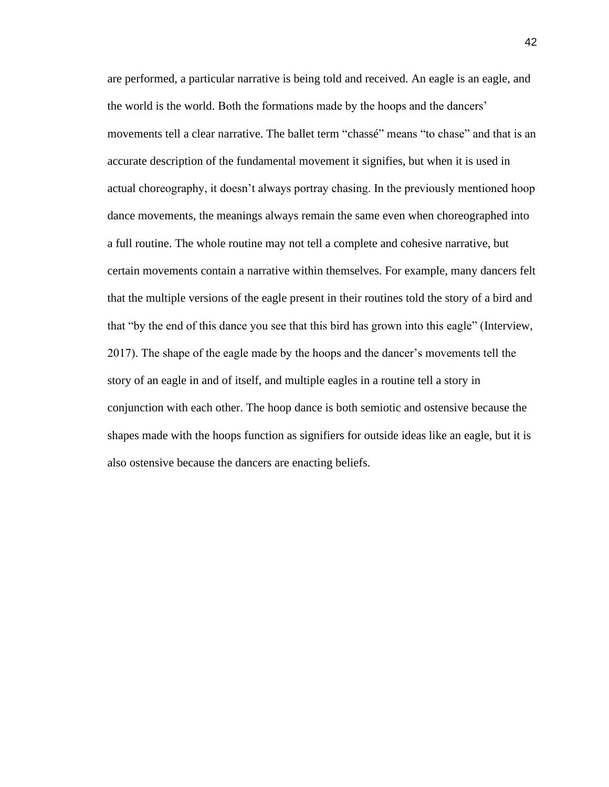are performed, a particular narrative is being told and received. An eagle is an eagle, and the world is the world. Both the formations made by the hoops and the dancers' movements tell a clear narrative. The ballet term "chassé" means "to chase" and that is an accurate description of the fundamental movement it signifies, but when it is used in actual choreography, it doesn't always portray chasing. In the previously mentioned hoop dance movements, the meanings always remain the same even when choreographed into a full routine. The whole routine may not tell a complete and cohesive narrative, but certain movements contain a narrative within themselves. For example, many dancers felt that the multiple versions of the eagle present in their routines told the story of a bird and that "by the end of this dance you see that this bird has grown into this eagle" (Interview, 2017). The shape of the eagle made by the hoops and the dancer's movements tell the story of an eagle in and of itself, and multiple eagles in a routine tell a story in conjunction with each other. The hoop dance is both semiotic and ostensive because the shapes made with the hoops function as signifiers for outside ideas like an eagle, but it is also ostensive because the dancers are enacting beliefs.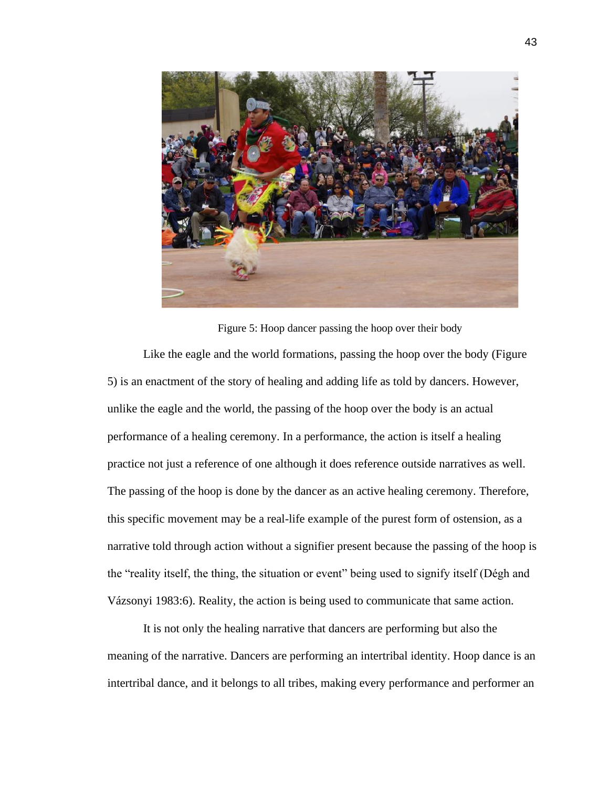

Figure 5: Hoop dancer passing the hoop over their body Like the eagle and the world formations, passing the hoop over the body (Figure 5) is an enactment of the story of healing and adding life as told by dancers. However, unlike the eagle and the world, the passing of the hoop over the body is an actual performance of a healing ceremony. In a performance, the action is itself a healing practice not just a reference of one although it does reference outside narratives as well. The passing of the hoop is done by the dancer as an active healing ceremony. Therefore, this specific movement may be a real-life example of the purest form of ostension, as a narrative told through action without a signifier present because the passing of the hoop is the "reality itself, the thing, the situation or event" being used to signify itself (Dégh and Vázsonyi 1983:6). Reality, the action is being used to communicate that same action.

It is not only the healing narrative that dancers are performing but also the meaning of the narrative. Dancers are performing an intertribal identity. Hoop dance is an intertribal dance, and it belongs to all tribes, making every performance and performer an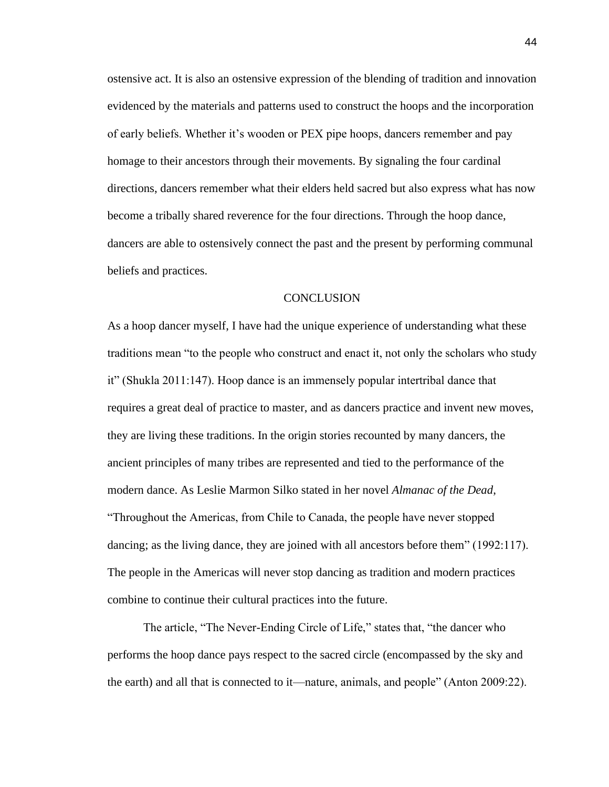ostensive act. It is also an ostensive expression of the blending of tradition and innovation evidenced by the materials and patterns used to construct the hoops and the incorporation of early beliefs. Whether it's wooden or PEX pipe hoops, dancers remember and pay homage to their ancestors through their movements. By signaling the four cardinal directions, dancers remember what their elders held sacred but also express what has now become a tribally shared reverence for the four directions. Through the hoop dance, dancers are able to ostensively connect the past and the present by performing communal beliefs and practices.

### **CONCLUSION**

As a hoop dancer myself, I have had the unique experience of understanding what these traditions mean "to the people who construct and enact it, not only the scholars who study it" (Shukla 2011:147). Hoop dance is an immensely popular intertribal dance that requires a great deal of practice to master, and as dancers practice and invent new moves, they are living these traditions. In the origin stories recounted by many dancers, the ancient principles of many tribes are represented and tied to the performance of the modern dance. As Leslie Marmon Silko stated in her novel *Almanac of the Dead*, "Throughout the Americas, from Chile to Canada, the people have never stopped dancing; as the living dance, they are joined with all ancestors before them" (1992:117). The people in the Americas will never stop dancing as tradition and modern practices combine to continue their cultural practices into the future.

The article, "The Never-Ending Circle of Life," states that, "the dancer who performs the hoop dance pays respect to the sacred circle (encompassed by the sky and the earth) and all that is connected to it—nature, animals, and people" (Anton 2009:22).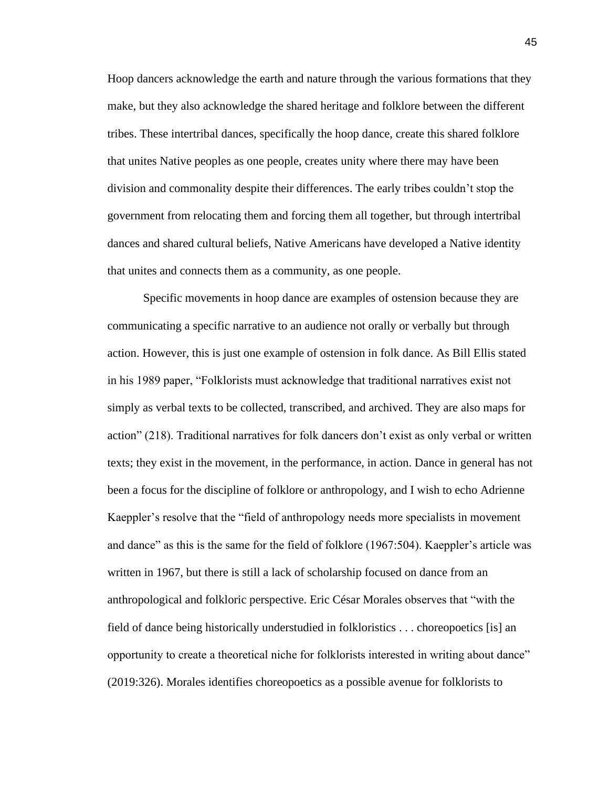Hoop dancers acknowledge the earth and nature through the various formations that they make, but they also acknowledge the shared heritage and folklore between the different tribes. These intertribal dances, specifically the hoop dance, create this shared folklore that unites Native peoples as one people, creates unity where there may have been division and commonality despite their differences. The early tribes couldn't stop the government from relocating them and forcing them all together, but through intertribal dances and shared cultural beliefs, Native Americans have developed a Native identity that unites and connects them as a community, as one people.

Specific movements in hoop dance are examples of ostension because they are communicating a specific narrative to an audience not orally or verbally but through action. However, this is just one example of ostension in folk dance. As Bill Ellis stated in his 1989 paper, "Folklorists must acknowledge that traditional narratives exist not simply as verbal texts to be collected, transcribed, and archived. They are also maps for action" (218). Traditional narratives for folk dancers don't exist as only verbal or written texts; they exist in the movement, in the performance, in action. Dance in general has not been a focus for the discipline of folklore or anthropology, and I wish to echo Adrienne Kaeppler's resolve that the "field of anthropology needs more specialists in movement and dance" as this is the same for the field of folklore (1967:504). Kaeppler's article was written in 1967, but there is still a lack of scholarship focused on dance from an anthropological and folkloric perspective. Eric César Morales observes that "with the field of dance being historically understudied in folkloristics . . . choreopoetics [is] an opportunity to create a theoretical niche for folklorists interested in writing about dance" (2019:326). Morales identifies choreopoetics as a possible avenue for folklorists to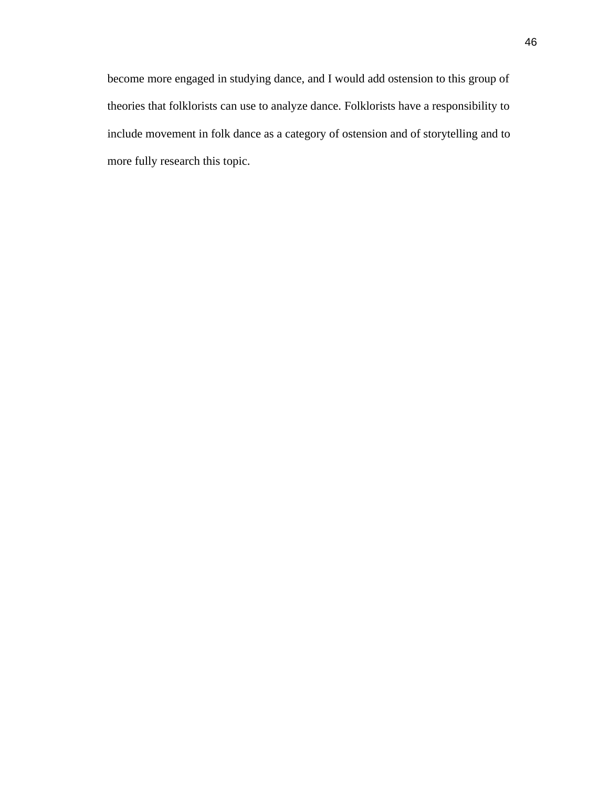become more engaged in studying dance, and I would add ostension to this group of theories that folklorists can use to analyze dance. Folklorists have a responsibility to include movement in folk dance as a category of ostension and of storytelling and to more fully research this topic.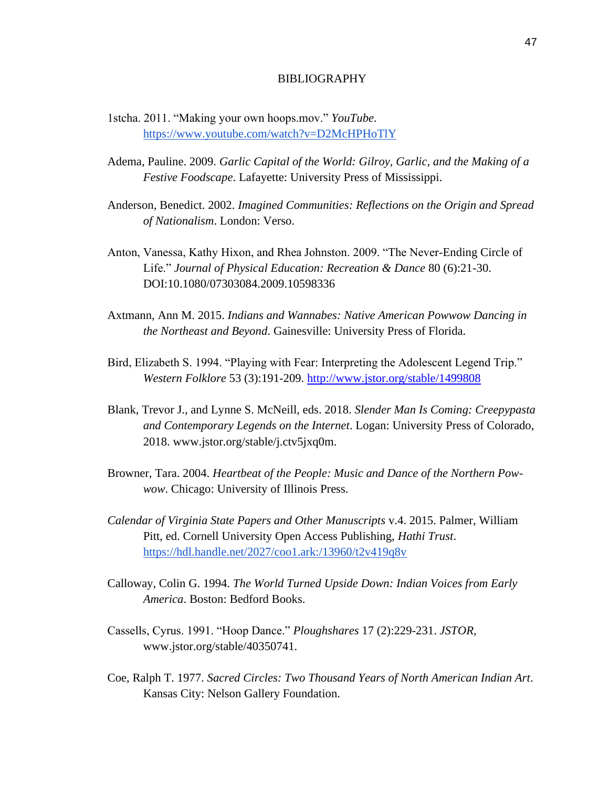### BIBLIOGRAPHY

- 1stcha. 2011. "Making your own hoops.mov." *YouTube*. <https://www.youtube.com/watch?v=D2McHPHoTlY>
- Adema, Pauline. 2009. *Garlic Capital of the World: Gilroy, Garlic, and the Making of a Festive Foodscape*. Lafayette: University Press of Mississippi.
- Anderson, Benedict. 2002. *Imagined Communities: Reflections on the Origin and Spread of Nationalism*. London: Verso.
- Anton, Vanessa, Kathy Hixon, and Rhea Johnston. 2009. "The Never-Ending Circle of Life." *Journal of Physical Education: Recreation & Dance* 80 (6):21-30. DOI:10.1080/07303084.2009.10598336
- Axtmann, Ann M. 2015. *Indians and Wannabes: Native American Powwow Dancing in the Northeast and Beyond*. Gainesville: University Press of Florida.
- Bird, Elizabeth S. 1994. "Playing with Fear: Interpreting the Adolescent Legend Trip." *Western Folklore* 53 (3):191-209. <http://www.jstor.org/stable/1499808>
- Blank, Trevor J., and Lynne S. McNeill, eds. 2018. *Slender Man Is Coming: Creepypasta and Contemporary Legends on the Internet*. Logan: University Press of Colorado, 2018. www.jstor.org/stable/j.ctv5jxq0m.
- Browner, Tara. 2004. *Heartbeat of the People: Music and Dance of the Northern Powwow*. Chicago: University of Illinois Press.
- *Calendar of Virginia State Papers and Other Manuscripts* v.4. 2015. Palmer, William Pitt, ed. Cornell University Open Access Publishing, *Hathi Trust*. <https://hdl.handle.net/2027/coo1.ark:/13960/t2v419q8v>
- Calloway, Colin G. 1994. *The World Turned Upside Down: Indian Voices from Early America*. Boston: Bedford Books.
- Cassells, Cyrus. 1991. "Hoop Dance." *Ploughshares* 17 (2):229-231. *JSTOR,*  www.jstor.org/stable/40350741.
- Coe, Ralph T. 1977. *Sacred Circles: Two Thousand Years of North American Indian Art*. Kansas City: Nelson Gallery Foundation.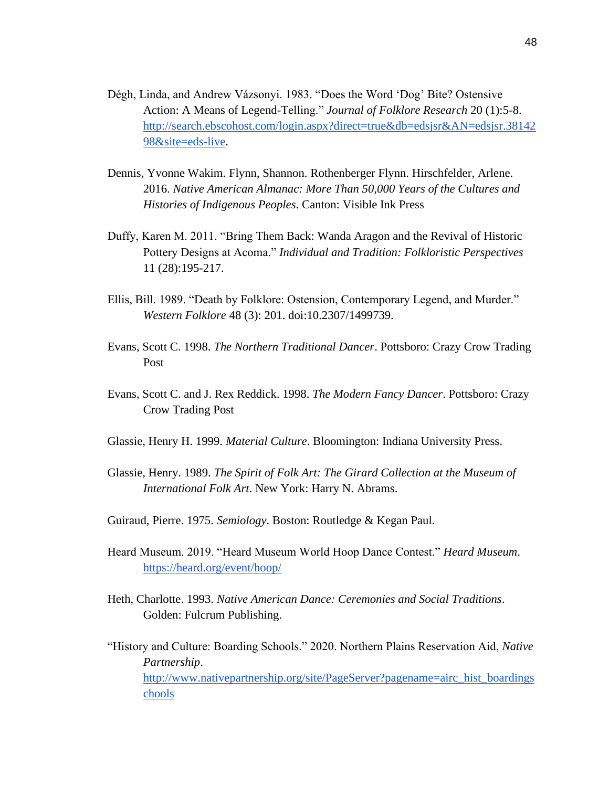- Dégh, Linda, and Andrew Vázsonyi. 1983. "Does the Word 'Dog' Bite? Ostensive Action: A Means of Legend-Telling." *Journal of Folklore Research* 20 (1):5-8. [http://search.ebscohost.com/login.aspx?direct=true&db=edsjsr&AN=edsjsr.38142](http://search.ebscohost.com/login.aspx?direct=true&db=edsjsr&AN=edsjsr.3814298&site=eds-live) [98&site=eds-live.](http://search.ebscohost.com/login.aspx?direct=true&db=edsjsr&AN=edsjsr.3814298&site=eds-live)
- Dennis, Yvonne Wakim. Flynn, Shannon. Rothenberger Flynn. Hirschfelder, Arlene. 2016. *Native American Almanac: More Than 50,000 Years of the Cultures and Histories of Indigenous Peoples*. Canton: Visible Ink Press
- Duffy, Karen M. 2011. "Bring Them Back: Wanda Aragon and the Revival of Historic Pottery Designs at Acoma." *Individual and Tradition: Folkloristic Perspectives* 11 (28):195-217.
- Ellis, Bill. 1989. "Death by Folklore: Ostension, Contemporary Legend, and Murder." *Western Folklore* 48 (3): 201. doi:10.2307/1499739.
- Evans, Scott C. 1998. *The Northern Traditional Dancer*. Pottsboro: Crazy Crow Trading Post
- Evans, Scott C. and J. Rex Reddick. 1998. *The Modern Fancy Dancer*. Pottsboro: Crazy Crow Trading Post
- Glassie, Henry H. 1999. *Material Culture*. Bloomington: Indiana University Press.
- Glassie, Henry. 1989. *The Spirit of Folk Art: The Girard Collection at the Museum of International Folk Art*. New York: Harry N. Abrams.
- Guiraud, Pierre. 1975. *Semiology*. Boston: Routledge & Kegan Paul.
- Heard Museum. 2019. "Heard Museum World Hoop Dance Contest." *Heard Museum*[.](https://heard.org/event/hoop/) <https://heard.org/event/hoop/>
- Heth, Charlotte. 1993. *Native American Dance: Ceremonies and Social Traditions*. Golden: Fulcrum Publishing.
- "History and Culture: Boarding Schools." 2020. Northern Plains Reservation Aid, *Native Partnership*. [http://www.nativepartnership.org/site/PageServer?pagename=airc\\_hist\\_boardings](http://www.nativepartnership.org/site/PageServer?pagename=airc_hist_boardingschools) [chools](http://www.nativepartnership.org/site/PageServer?pagename=airc_hist_boardingschools)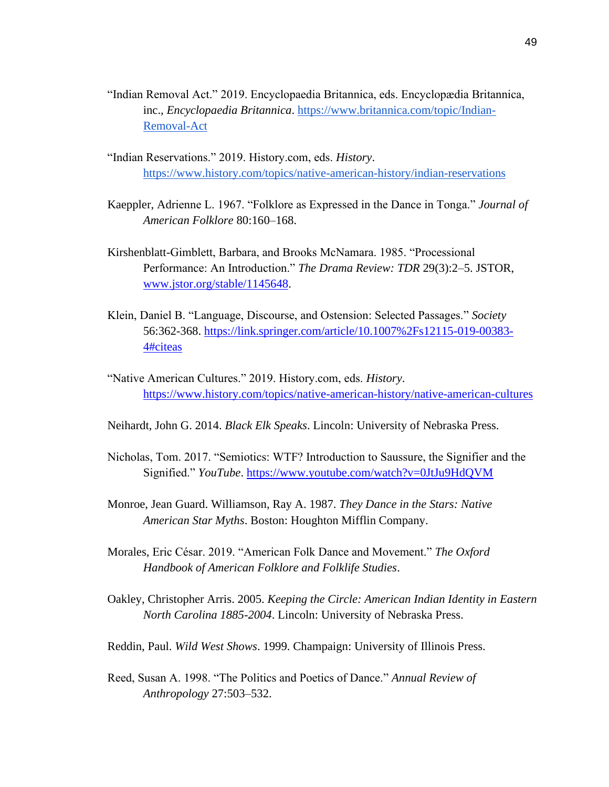- "Indian Removal Act." 2019. Encyclopaedia Britannica, eds. Encyclopædia Britannica, inc., *Encyclopaedia Britannica*. [https://www.britannica.com/topic/Indian-](https://www.britannica.com/topic/Indian-Removal-Act)[Removal-Act](https://www.britannica.com/topic/Indian-Removal-Act)
- "Indian Reservations." 2019. History.com, eds. *History*. <https://www.history.com/topics/native-american-history/indian-reservations>
- Kaeppler, Adrienne L. 1967. "Folklore as Expressed in the Dance in Tonga." *Journal of American Folklore* 80:160–168.
- Kirshenblatt-Gimblett, Barbara, and Brooks McNamara. 1985. "Processional Performance: An Introduction." *The Drama Review: TDR* 29(3):2–5. JSTOR, [www.jstor.org/stable/1145648.](http://www.jstor.org/stable/1145648)
- Klein, Daniel B. "Language, Discourse, and Ostension: Selected Passages." *Society* 56:362-368. [https://link.springer.com/article/10.1007%2Fs12115-019-00383-](https://link.springer.com/article/10.1007%2Fs12115-019-00383-4#citeas) [4#citeas](https://link.springer.com/article/10.1007%2Fs12115-019-00383-4#citeas)
- "Native American Cultures." 2019. History.com, eds. *History*. <https://www.history.com/topics/native-american-history/native-american-cultures>
- Neihardt, John G. 2014. *Black Elk Speaks*. Lincoln: University of Nebraska Press.
- Nicholas, Tom. 2017. "Semiotics: WTF? Introduction to Saussure, the Signifier and the Signified." *YouTube*. <https://www.youtube.com/watch?v=0JtJu9HdQVM>
- Monroe, Jean Guard. Williamson, Ray A. 1987. *They Dance in the Stars: Native American Star Myths*. Boston: Houghton Mifflin Company.
- Morales, Eric César. 2019. "American Folk Dance and Movement." *The Oxford Handbook of American Folklore and Folklife Studies*.
- Oakley, Christopher Arris. 2005. *Keeping the Circle: American Indian Identity in Eastern North Carolina 1885-2004*. Lincoln: University of Nebraska Press.
- Reddin, Paul. *Wild West Shows*. 1999. Champaign: University of Illinois Press.
- Reed, Susan A. 1998. "The Politics and Poetics of Dance." *Annual Review of Anthropology* 27:503–532.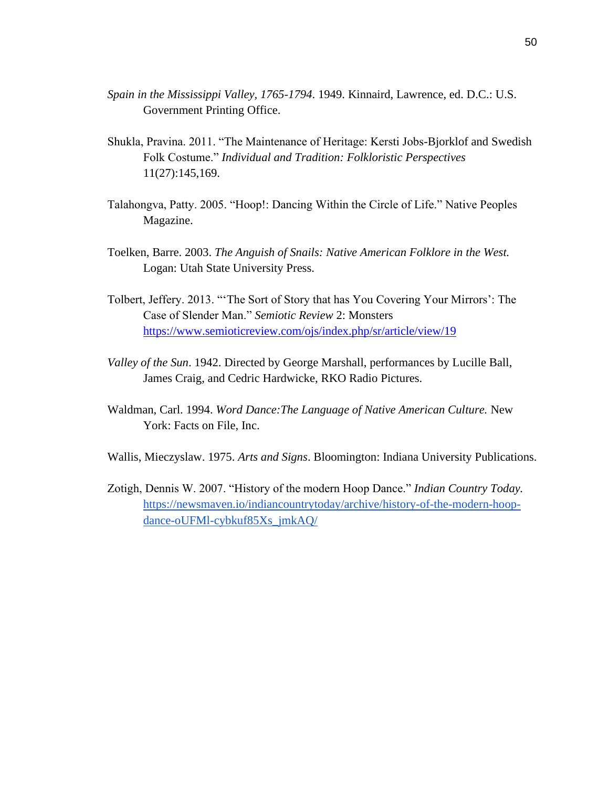- *Spain in the Mississippi Valley, 1765-1794*. 1949. Kinnaird, Lawrence, ed. D.C.: U.S. Government Printing Office.
- Shukla, Pravina. 2011. "The Maintenance of Heritage: Kersti Jobs-Bjorklof and Swedish Folk Costume." *Individual and Tradition: Folkloristic Perspectives* 11(27):145,169.
- Talahongva, Patty. 2005. "Hoop!: Dancing Within the Circle of Life." Native Peoples Magazine.
- Toelken, Barre. 2003. *The Anguish of Snails: Native American Folklore in the West.*  Logan: Utah State University Press.
- Tolbert, Jeffery. 2013. "'The Sort of Story that has You Covering Your Mirrors': The Case of Slender Man." *Semiotic Review* 2: Monsters <https://www.semioticreview.com/ojs/index.php/sr/article/view/19>
- *Valley of the Sun*. 1942. Directed by George Marshall, performances by Lucille Ball, James Craig, and Cedric Hardwicke, RKO Radio Pictures.
- Waldman, Carl. 1994. *Word Dance:The Language of Native American Culture.* New York: Facts on File, Inc.
- Wallis, Mieczyslaw. 1975. *Arts and Signs*. Bloomington: Indiana University Publications.
- Zotigh, Dennis W. 2007. "History of the modern Hoop Dance." *Indian Country Today.*  [https://newsmaven.io/indiancountrytoday/archive/history-of-the-modern-hoop](https://newsmaven.io/indiancountrytoday/archive/history-of-the-modern-hoop-dance-oUFMl-cybkuf85Xs_jmkAQ/)[dance-oUFMl-cybkuf85Xs\\_jmkAQ/](https://newsmaven.io/indiancountrytoday/archive/history-of-the-modern-hoop-dance-oUFMl-cybkuf85Xs_jmkAQ/)